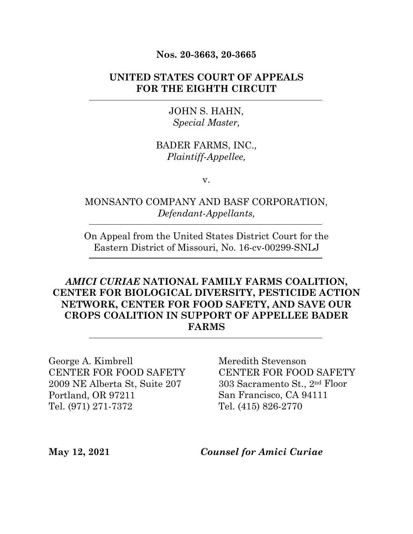#### **Nos. 20-3663, 20-3665**

### **UNITED STATES COURT OF APPEALS FOR THE EIGHTH CIRCUIT**

#### JOHN S. HAHN, *Special Master,*

### BADER FARMS, INC., *Plaintiff-Appellee,*

v.

### MONSANTO COMPANY AND BASF CORPORATION, *Defendant-Appellants,*

On Appeal from the United States District Court for the Eastern District of Missouri, No. 16-cv-00299-SNLJ

## *AMICI CURIAE* **NATIONAL FAMILY FARMS COALITION, CENTER FOR BIOLOGICAL DIVERSITY, PESTICIDE ACTION NETWORK, CENTER FOR FOOD SAFETY, AND SAVE OUR CROPS COALITION IN SUPPORT OF APPELLEE BADER FARMS**

George A. Kimbrell CENTER FOR FOOD SAFETY 2009 NE Alberta St, Suite 207 Portland, OR 97211 Tel. (971) 271-7372

Meredith Stevenson CENTER FOR FOOD SAFETY 303 Sacramento St., 2nd Floor San Francisco, CA 94111 Tel. (415) 826-2770

**May 12, 2021** *Counsel for Amici Curiae*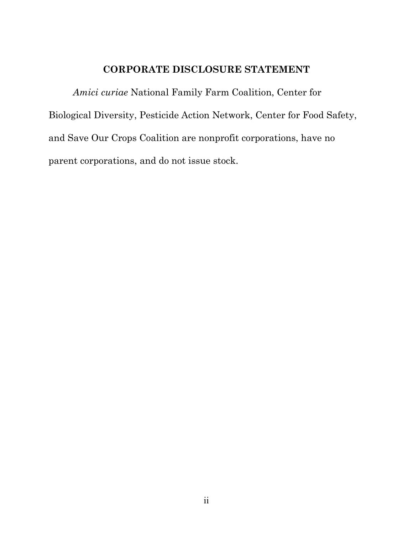### **CORPORATE DISCLOSURE STATEMENT**

*Amici curiae* National Family Farm Coalition, Center for Biological Diversity, Pesticide Action Network, Center for Food Safety, and Save Our Crops Coalition are nonprofit corporations, have no parent corporations, and do not issue stock.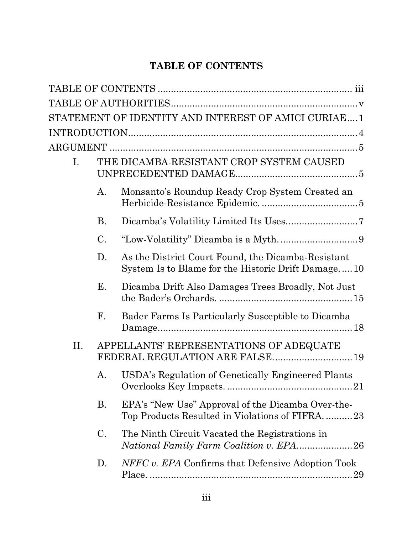## <span id="page-2-0"></span>**TABLE OF CONTENTS**

|     |    | STATEMENT OF IDENTITY AND INTEREST OF AMICI CURIAE1                                                      |
|-----|----|----------------------------------------------------------------------------------------------------------|
|     |    |                                                                                                          |
|     |    |                                                                                                          |
| Ι.  |    | THE DICAMBA-RESISTANT CROP SYSTEM CAUSED                                                                 |
|     | A. | Monsanto's Roundup Ready Crop System Created an                                                          |
|     | Β. |                                                                                                          |
|     | C. |                                                                                                          |
|     | D. | As the District Court Found, the Dicamba-Resistant<br>System Is to Blame for the Historic Drift Damage10 |
|     | Е. | Dicamba Drift Also Damages Trees Broadly, Not Just                                                       |
|     | F. | Bader Farms Is Particularly Susceptible to Dicamba                                                       |
| II. |    | APPELLANTS' REPRESENTATIONS OF ADEQUATE<br>FEDERAL REGULATION ARE FALSE 19                               |
|     | А. | USDA's Regulation of Genetically Engineered Plants                                                       |
|     | Β. | EPA's "New Use" Approval of the Dicamba Over-the-<br>Top Products Resulted in Violations of FIFRA23      |
|     | C. | The Ninth Circuit Vacated the Registrations in                                                           |
|     | D. | NFFC v. EPA Confirms that Defensive Adoption Took                                                        |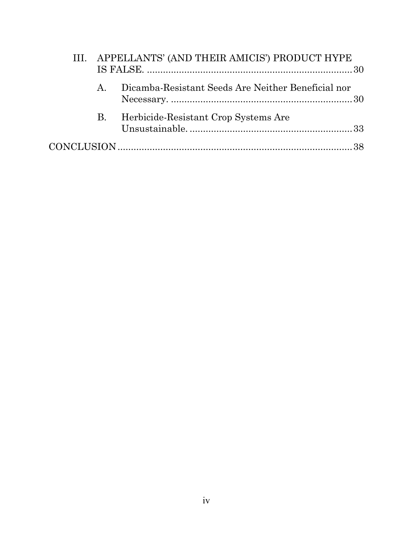|             | III. APPELLANTS' (AND THEIR AMICIS') PRODUCT HYPE  |  |
|-------------|----------------------------------------------------|--|
| $A_{\cdot}$ | Dicamba-Resistant Seeds Are Neither Beneficial nor |  |
| <b>B.</b>   | Herbicide-Resistant Crop Systems Are               |  |
|             |                                                    |  |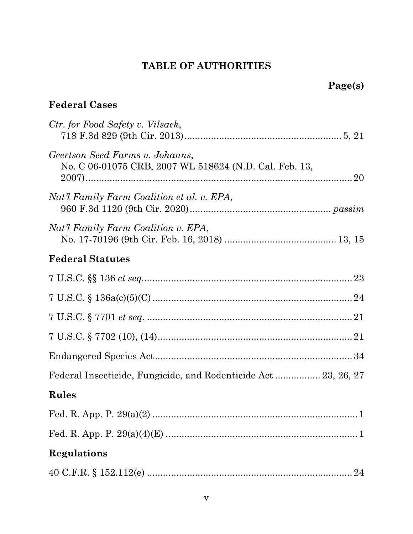## **TABLE OF AUTHORITIES**

## **Page(s)**

## **Federal Cases**

| Ctr. for Food Safety v. Vilsack,                                                          |
|-------------------------------------------------------------------------------------------|
| Geertson Seed Farms v. Johanns,<br>No. C 06-01075 CRB, 2007 WL 518624 (N.D. Cal. Feb. 13, |
| Nat'l Family Farm Coalition et al. v. EPA,                                                |
| Nat'l Family Farm Coalition v. EPA,                                                       |
| <b>Federal Statutes</b>                                                                   |
|                                                                                           |
|                                                                                           |
|                                                                                           |
|                                                                                           |
|                                                                                           |
| Federal Insecticide, Fungicide, and Rodenticide Act 23, 26, 27                            |
| Rules                                                                                     |
|                                                                                           |
|                                                                                           |
| Regulations                                                                               |
|                                                                                           |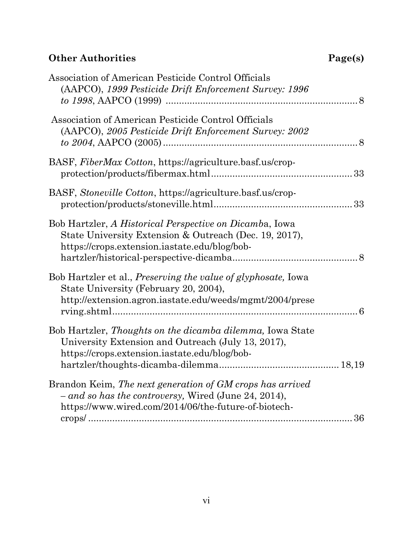## **Other Authorities**

| Page(s) |  |
|---------|--|
|---------|--|

| 36 |
|----|
|    |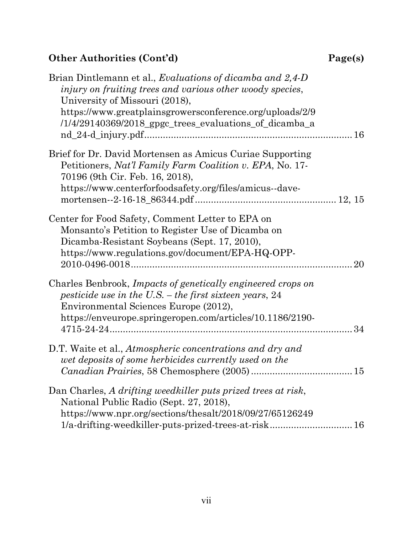# **Other Authorities (Cont'd) Page(s)**

| Brian Dintlemann et al., Evaluations of dicamba and 2,4-D<br>injury on fruiting trees and various other woody species,<br>University of Missouri (2018),<br>https://www.greatplainsgrowersconference.org/uploads/2/9<br>/1/4/29140369/2018_gpgc_trees_evaluations_of_dicamba_a |    |
|--------------------------------------------------------------------------------------------------------------------------------------------------------------------------------------------------------------------------------------------------------------------------------|----|
| Brief for Dr. David Mortensen as Amicus Curiae Supporting<br>Petitioners, Nat'l Family Farm Coalition v. EPA, No. 17-<br>70196 (9th Cir. Feb. 16, 2018),<br>https://www.centerforfoodsafety.org/files/amicus--dave-                                                            |    |
| Center for Food Safety, Comment Letter to EPA on<br>Monsanto's Petition to Register Use of Dicamba on<br>Dicamba-Resistant Soybeans (Sept. 17, 2010),<br>https://www.regulations.gov/document/EPA-HQ-OPP-                                                                      | 20 |
| Charles Benbrook, Impacts of genetically engineered crops on<br>pesticide use in the U.S. – the first sixteen years, $24$<br>Environmental Sciences Europe (2012),<br>https://enveurope.springeropen.com/articles/10.1186/2190-                                                |    |
| D.T. Waite et al., Atmospheric concentrations and dry and<br>wet deposits of some herbicides currently used on the                                                                                                                                                             |    |
| Dan Charles, A drifting weedkiller puts prized trees at risk,<br>National Public Radio (Sept. 27, 2018),<br>https://www.npr.org/sections/thesalt/2018/09/27/65126249<br>1/a-drifting-weedkiller-puts-prized-trees-at-risk 16                                                   |    |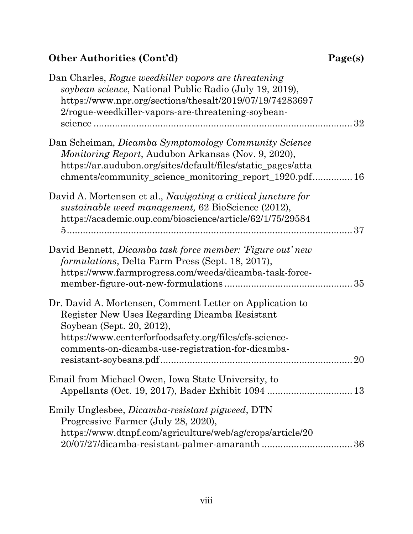## **Other Authorities (Cont'd) Page(s)**

| Dan Charles, Rogue weedkiller vapors are threatening<br>soybean science, National Public Radio (July 19, 2019),<br>https://www.npr.org/sections/thesalt/2019/07/19/74283697<br>2/rogue-weedkiller-vapors-are-threatening-soybean-                     | 32 |
|-------------------------------------------------------------------------------------------------------------------------------------------------------------------------------------------------------------------------------------------------------|----|
| Dan Scheiman, Dicamba Symptomology Community Science<br><i>Monitoring Report, Audubon Arkansas (Nov. 9, 2020),</i><br>https://ar.audubon.org/sites/default/files/static_pages/atta<br>chments/community_science_monitoring_report_1920.pdf 16         |    |
| David A. Mortensen et al., <i>Navigating a critical juncture for</i><br>sustainable weed management, 62 BioScience (2012),<br>https://academic.oup.com/bioscience/article/62/1/75/29584                                                               | 37 |
| David Bennett, <i>Dicamba task force member: 'Figure out' new</i><br><i>formulations</i> , Delta Farm Press (Sept. 18, 2017),<br>https://www.farmprogress.com/weeds/dicamba-task-force-                                                               |    |
| Dr. David A. Mortensen, Comment Letter on Application to<br>Register New Uses Regarding Dicamba Resistant<br>Soybean (Sept. 20, 2012),<br>https://www.centerforfoodsafety.org/files/cfs-science-<br>comments on dicamba use registration for dicamba- | 20 |
| Email from Michael Owen, Iowa State University, to                                                                                                                                                                                                    |    |
| Emily Unglesbee, <i>Dicamba-resistant pigweed</i> , DTN<br>Progressive Farmer (July 28, 2020),<br>https://www.dtnpf.com/agriculture/web/ag/crops/article/20                                                                                           | 36 |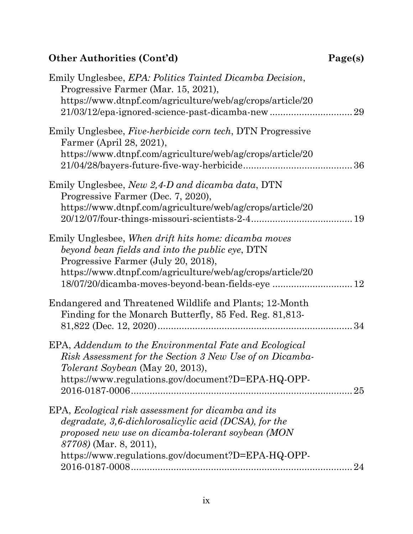## $Other$  Authorities<sup>(Cont'd)</sup>

| 'age(s) |  |
|---------|--|
|---------|--|

| Emily Unglesbee, <i>EPA</i> : Politics Tainted Dicamba Decision,<br>Progressive Farmer (Mar. 15, 2021),<br>https://www.dtnpf.com/agriculture/web/ag/crops/article/20                                                                                             |    |
|------------------------------------------------------------------------------------------------------------------------------------------------------------------------------------------------------------------------------------------------------------------|----|
| Emily Unglesbee, <i>Five-herbicide corn tech</i> , DTN Progressive<br>Farmer (April 28, 2021),<br>https://www.dtnpf.com/agriculture/web/ag/crops/article/20                                                                                                      | 36 |
| Emily Unglesbee, New 2,4-D and dicamba data, DTN<br>Progressive Farmer (Dec. 7, 2020),<br>https://www.dtnpf.com/agriculture/web/ag/crops/article/20                                                                                                              |    |
| Emily Unglesbee, When drift hits home: dicamba moves<br>beyond bean fields and into the public eye, DTN<br>Progressive Farmer (July 20, 2018),<br>https://www.dtnpf.com/agriculture/web/ag/crops/article/20<br>18/07/20/dicamba-moves-beyond-bean-fields-eye  12 |    |
| Endangered and Threatened Wildlife and Plants; 12-Month<br>Finding for the Monarch Butterfly, 85 Fed. Reg. 81,813-                                                                                                                                               |    |
| EPA, Addendum to the Environmental Fate and Ecological<br>Risk Assessment for the Section 3 New Use of on Dicamba-<br><i>Tolerant Soybean</i> (May 20, 2013),<br>https://www.regulations.gov/document?D=EPA-HQ-OPP-                                              | 25 |
| EPA, Ecological risk assessment for dicamba and its<br>degradate, 3,6-dichlorosalicylic acid (DCSA), for the<br>proposed new use on dicamba-tolerant soybean (MON<br>87708) (Mar. 8, 2011),<br>https://www.regulations.gov/document?D=EPA-HQ-OPP-                | 24 |
|                                                                                                                                                                                                                                                                  |    |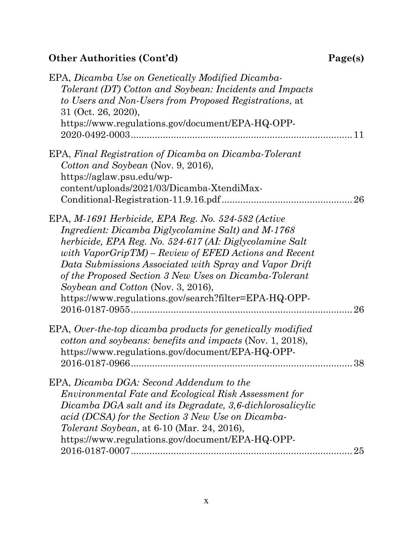## $Other$  Authorities<sup>(Cont'd)</sup>

| aget<br>S.<br>J |
|-----------------|
|-----------------|

| EPA, Dicamba Use on Genetically Modified Dicamba-<br>Tolerant (DT) Cotton and Soybean: Incidents and Impacts<br>to Users and Non-Users from Proposed Registrations, at<br>31 (Oct. 26, 2020),<br>https://www.regulations.gov/document/EPA-HQ-OPP-                                                                                                                                                                                                       |
|---------------------------------------------------------------------------------------------------------------------------------------------------------------------------------------------------------------------------------------------------------------------------------------------------------------------------------------------------------------------------------------------------------------------------------------------------------|
| EPA, Final Registration of Dicamba on Dicamba-Tolerant<br>Cotton and Soybean (Nov. 9, 2016),<br>https://aglaw.psu.edu/wp-<br>content/uploads/2021/03/Dicamba-XtendiMax-                                                                                                                                                                                                                                                                                 |
| EPA, M-1691 Herbicide, EPA Reg. No. 524-582 (Active<br>Ingredient: Dicamba Diglycolamine Salt) and M-1768<br>herbicide, EPA Reg. No. 524-617 (AI: Diglycolamine Salt<br>with $VaporGripTM$ – Review of EFED Actions and Recent<br>Data Submissions Associated with Spray and Vapor Drift<br>of the Proposed Section 3 New Uses on Dicamba-Tolerant<br>Soybean and Cotton (Nov. 3, 2016),<br>https://www.regulations.gov/search?filter=EPA-HQ-OPP-<br>26 |
| EPA, Over-the-top dicamba products for genetically modified<br>cotton and soybeans: benefits and impacts (Nov. 1, 2018),<br>https://www.regulations.gov/document/EPA-HQ-OPP-<br>38                                                                                                                                                                                                                                                                      |
| EPA, Dicamba DGA: Second Addendum to the<br><i>Environmental Fate and Ecological Risk Assessment for</i><br>Dicamba DGA salt and its Degradate, 3,6-dichlorosalicylic<br>acid (DCSA) for the Section 3 New Use on Dicamba-<br><i>Tolerant Soybean</i> , at 6-10 (Mar. 24, 2016),<br>https://www.regulations.gov/document/EPA-HQ-OPP-<br>25                                                                                                              |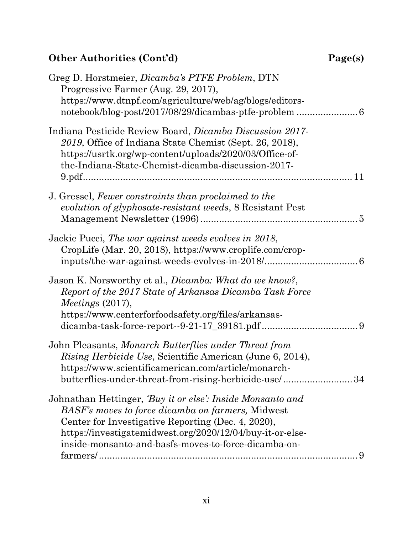## $Other Authorities (Cont'd)$

| Page(s) |  |
|---------|--|
|---------|--|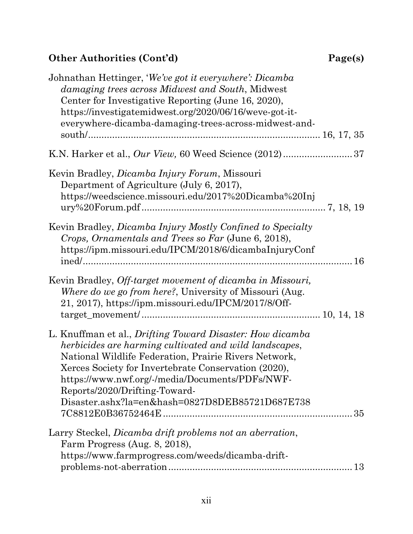# **Other Authorities (Cont'd) Page(s)**

| Johnathan Hettinger, 'We've got it everywhere': Dicamba<br>damaging trees across Midwest and South, Midwest<br>Center for Investigative Reporting (June 16, 2020),<br>https://investigatemidwest.org/2020/06/16/weve-got-it-<br>everywhere-dicamba-damaging-trees-across-midwest-and-                                                                                              |
|------------------------------------------------------------------------------------------------------------------------------------------------------------------------------------------------------------------------------------------------------------------------------------------------------------------------------------------------------------------------------------|
|                                                                                                                                                                                                                                                                                                                                                                                    |
| Kevin Bradley, <i>Dicamba Injury Forum</i> , Missouri<br>Department of Agriculture (July 6, 2017),<br>https://weedscience.missouri.edu/2017%20Dicamba%20Inj                                                                                                                                                                                                                        |
| Kevin Bradley, <i>Dicamba Injury Mostly Confined to Specialty</i><br>Crops, Ornamentals and Trees so Far (June 6, 2018),<br>https://ipm.missouri.edu/IPCM/2018/6/dicambaInjuryConf                                                                                                                                                                                                 |
| Kevin Bradley, Off-target movement of dicamba in Missouri,<br>Where do we go from here?, University of Missouri (Aug.<br>21, 2017), https://ipm.missouri.edu/IPCM/2017/8/Off-                                                                                                                                                                                                      |
| L. Knuffman et al., <i>Drifting Toward Disaster: How dicamba</i><br>herbicides are harming cultivated and wild landscapes,<br>National Wildlife Federation, Prairie Rivers Network,<br>Xerces Society for Invertebrate Conservation (2020),<br>https://www.nwf.org/-/media/Documents/PDFs/NWF-<br>Reports/2020/Drifting-Toward-<br>Disaster.ashx?la=en&hash=0827D8DEB85721D687E738 |
| Larry Steckel, Dicamba drift problems not an aberration,<br>Farm Progress (Aug. 8, 2018),<br>https://www.farmprogress.com/weeds/dicamba-drift-                                                                                                                                                                                                                                     |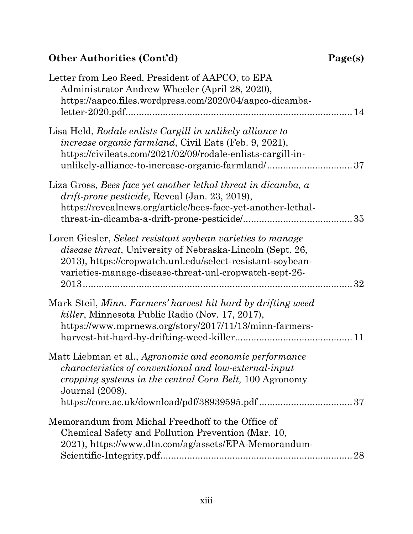## $Other$  Authorities<sup>(Cont'd)</sup>

| Page(s) |  |
|---------|--|
|---------|--|

| Letter from Leo Reed, President of AAPCO, to EPA<br>Administrator Andrew Wheeler (April 28, 2020),<br>https://aapco.files.wordpress.com/2020/04/aapco-dicamba-                                                                                           |    |
|----------------------------------------------------------------------------------------------------------------------------------------------------------------------------------------------------------------------------------------------------------|----|
| Lisa Held, Rodale enlists Cargill in unlikely alliance to<br><i>increase organic farmland</i> , Civil Eats (Feb. 9, 2021),<br>https://civileats.com/2021/02/09/rodale-enlists-cargill-in-                                                                |    |
| Liza Gross, Bees face yet another lethal threat in dicamba, a<br><i>drift-prone pesticide, Reveal (Jan. 23, 2019),</i><br>https://revealnews.org/article/bees-face-yet-another-lethal-                                                                   |    |
| Loren Giesler, Select resistant soybean varieties to manage<br><i>disease threat</i> , University of Nebraska-Lincoln (Sept. 26,<br>2013), https://cropwatch.unl.edu/select-resistant-soybean-<br>varieties-manage-disease-threat-unl-cropwatch-sept-26- | 32 |
| Mark Steil, Minn. Farmers' harvest hit hard by drifting weed<br><i>killer</i> , Minnesota Public Radio (Nov. 17, 2017),<br>https://www.mprnews.org/story/2017/11/13/minn-farmers-                                                                        |    |
| Matt Liebman et al., Agronomic and economic performance<br><i>characteristics of conventional and low-external-input</i><br>cropping systems in the central Corn Belt, 100 Agronomy<br>Journal (2008),                                                   |    |
| Memorandum from Michal Freedhoff to the Office of<br>Chemical Safety and Pollution Prevention (Mar. 10,<br>2021), https://www.dtn.com/ag/assets/EPA-Memorandum-                                                                                          | 28 |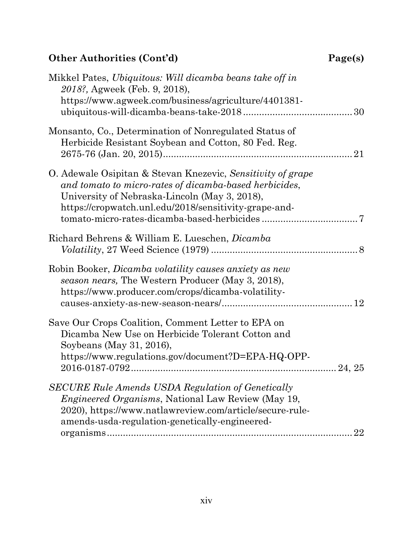## $Other$  Authorities<sup>(Cont'd)</sup>

| age(s) |
|--------|
|--------|

| Mikkel Pates, Ubiquitous: Will dicamba beans take off in<br>2018?, Agweek (Feb. 9, 2018),<br>https://www.agweek.com/business/agriculture/4401381-                                                                                          |
|--------------------------------------------------------------------------------------------------------------------------------------------------------------------------------------------------------------------------------------------|
| Monsanto, Co., Determination of Nonregulated Status of<br>Herbicide Resistant Soybean and Cotton, 80 Fed. Reg.<br>21                                                                                                                       |
| O. Adewale Osipitan & Stevan Knezevic, Sensitivity of grape<br>and tomato to micro-rates of dicamba-based herbicides,<br>University of Nebraska-Lincoln (May 3, 2018),<br>https://cropwatch.unl.edu/2018/sensitivity-grape-and-            |
| Richard Behrens & William E. Lueschen, <i>Dicamba</i><br>$Volatility, 27 \text{ Weed Science} (1979) \dots 8$                                                                                                                              |
| Robin Booker, <i>Dicamba volatility causes anxiety as new</i><br>season nears, The Western Producer (May 3, 2018),<br>https://www.producer.com/crops/dicamba-volatility-                                                                   |
| Save Our Crops Coalition, Comment Letter to EPA on<br>Dicamba New Use on Herbicide Tolerant Cotton and<br>Soybeans (May 31, 2016),<br>https://www.regulations.gov/document?D=EPA-HQ-OPP-                                                   |
| <b>SECURE Rule Amends USDA Regulation of Genetically</b><br><i>Engineered Organisms</i> , National Law Review (May 19,<br>2020), https://www.natlawreview.com/article/secure-rule-<br>amends-usda-regulation-genetically-engineered-<br>22 |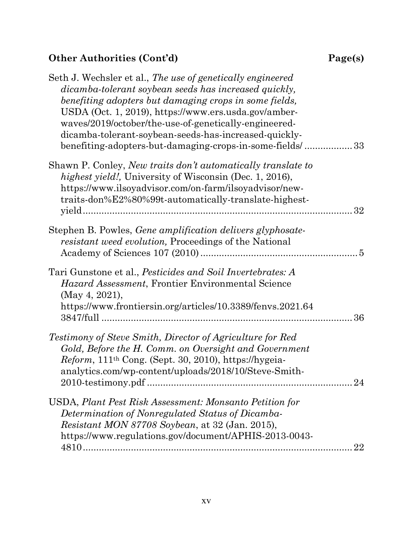# **Other Authorities (Cont'd) Page(s)**

| Seth J. Wechsler et al., The use of genetically engineered<br>dicamba-tolerant soybean seeds has increased quickly,<br>benefiting adopters but damaging crops in some fields,<br>USDA (Oct. 1, 2019), https://www.ers.usda.gov/amber-<br>waves/2019/october/the-use-of-genetically-engineered-<br>dicamba-tolerant-soybean-seeds-has-increased-quickly-<br>benefiting-adopters-but-damaging-crops-in-some-fields/33 |    |
|---------------------------------------------------------------------------------------------------------------------------------------------------------------------------------------------------------------------------------------------------------------------------------------------------------------------------------------------------------------------------------------------------------------------|----|
| Shawn P. Conley, New traits don't automatically translate to<br><i>highest yield!</i> , University of Wisconsin (Dec. 1, 2016),<br>https://www.ilsoyadvisor.com/on-farm/ilsoyadvisor/new-<br>traits-don%E2%80%99t-automatically-translate-highest-                                                                                                                                                                  | 32 |
| Stephen B. Powles, <i>Gene amplification delivers glyphosate-</i><br><i>resistant weed evolution</i> , Proceedings of the National                                                                                                                                                                                                                                                                                  |    |
| Tari Gunstone et al., Pesticides and Soil Invertebrates: A<br><i>Hazard Assessment</i> , Frontier Environmental Science<br>(May 4, 2021),<br>https://www.frontiersin.org/articles/10.3389/fenvs.2021.64                                                                                                                                                                                                             | 36 |
| Testimony of Steve Smith, Director of Agriculture for Red<br>Gold, Before the H. Comm. on Oversight and Government<br>$Reform, 111th Cong.$ (Sept. 30, 2010), https://hygeia-<br>analytics.com/wp-content/uploads/2018/10/Steve-Smith-                                                                                                                                                                              | 24 |
| USDA, Plant Pest Risk Assessment: Monsanto Petition for<br>Determination of Nonregulated Status of Dicamba-<br><i>Resistant MON 87708 Soybean, at 32 (Jan. 2015),</i><br>https://www.regulations.gov/document/APHIS-2013-0043-                                                                                                                                                                                      | 22 |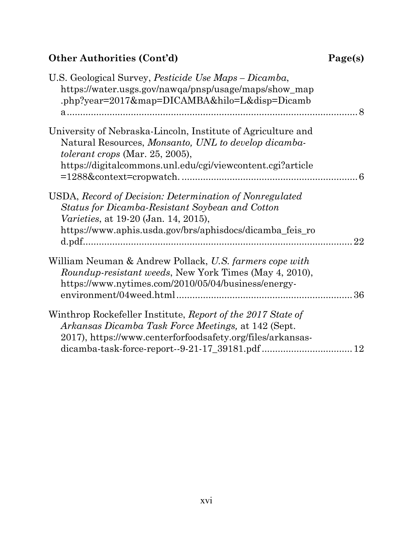## $Other$  Authorities<sup>(Cont'd)</sup>

| Page(s) |  |
|---------|--|
|---------|--|

| U.S. Geological Survey, <i>Pesticide Use Maps – Dicamba</i> ,<br>https://water.usgs.gov/nawqa/pnsp/usage/maps/show_map<br>.php?year=2017↦=DICAMBA&hilo=L&disp=Dicamb                                                   |    |
|------------------------------------------------------------------------------------------------------------------------------------------------------------------------------------------------------------------------|----|
| University of Nebraska-Lincoln, Institute of Agriculture and<br>Natural Resources, Monsanto, UNL to develop dicamba-<br>tolerant crops (Mar. 25, 2005),<br>https://digitalcommons.unl.edu/cgi/viewcontent.cgi?article  |    |
| USDA, Record of Decision: Determination of Nonregulated<br>Status for Dicamba-Resistant Soybean and Cotton<br><i>Varieties</i> , at 19-20 (Jan. 14, 2015),<br>https://www.aphis.usda.gov/brs/aphisdocs/dicamba_feis_ro | 22 |
| William Neuman & Andrew Pollack, U.S. farmers cope with<br><i>Roundup-resistant weeds, New York Times (May 4, 2010),</i><br>https://www.nytimes.com/2010/05/04/business/energy-                                        | 36 |
| Winthrop Rockefeller Institute, Report of the 2017 State of<br>Arkansas Dicamba Task Force Meetings, at 142 (Sept.<br>2017), https://www.centerforfoodsafety.org/files/arkansas-                                       |    |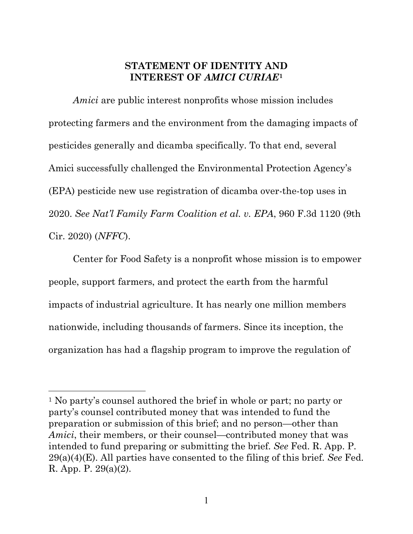#### <span id="page-16-0"></span>**STATEMENT OF IDENTITY AND INTEREST OF** *AMICI CURIAE***[1](#page-16-4)**

*Amici* are public interest nonprofits whose mission includes protecting farmers and the environment from the damaging impacts of pesticides generally and dicamba specifically. To that end, several Amici successfully challenged the Environmental Protection Agency's (EPA) pesticide new use registration of dicamba over-the-top uses in 2020. *See Nat'l Family Farm Coalition et al. v. EPA*, 960 F.3d 1120 (9th Cir. 2020) (*NFFC*).

<span id="page-16-1"></span>Center for Food Safety is a nonprofit whose mission is to empower people, support farmers, and protect the earth from the harmful impacts of industrial agriculture. It has nearly one million members nationwide, including thousands of farmers. Since its inception, the organization has had a flagship program to improve the regulation of

<span id="page-16-4"></span><span id="page-16-3"></span><span id="page-16-2"></span><sup>1</sup> No party's counsel authored the brief in whole or part; no party or party's counsel contributed money that was intended to fund the preparation or submission of this brief; and no person—other than *Amici*, their members, or their counsel—contributed money that was intended to fund preparing or submitting the brief. *See* Fed. R. App. P. 29(a)(4)(E). All parties have consented to the filing of this brief. *See* Fed. R. App. P. 29(a)(2).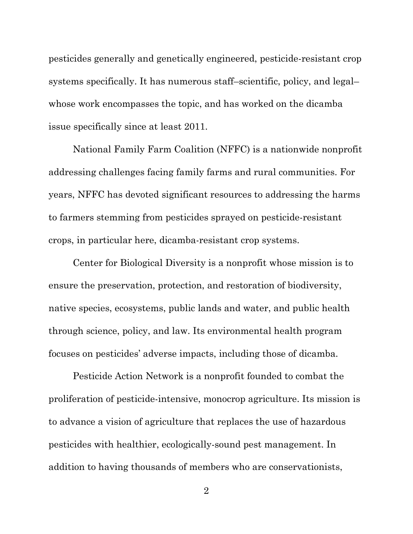pesticides generally and genetically engineered, pesticide-resistant crop systems specifically. It has numerous staff–scientific, policy, and legal– whose work encompasses the topic, and has worked on the dicamba issue specifically since at least 2011.

National Family Farm Coalition (NFFC) is a nationwide nonprofit addressing challenges facing family farms and rural communities. For years, NFFC has devoted significant resources to addressing the harms to farmers stemming from pesticides sprayed on pesticide-resistant crops, in particular here, dicamba-resistant crop systems.

Center for Biological Diversity is a nonprofit whose mission is to ensure the preservation, protection, and restoration of biodiversity, native species, ecosystems, public lands and water, and public health through science, policy, and law. Its environmental health program focuses on pesticides' adverse impacts, including those of dicamba.

Pesticide Action Network is a nonprofit founded to combat the proliferation of pesticide-intensive, monocrop agriculture. Its mission is to advance a vision of agriculture that replaces the use of hazardous pesticides with healthier, ecologically-sound pest management. In addition to having thousands of members who are conservationists,

2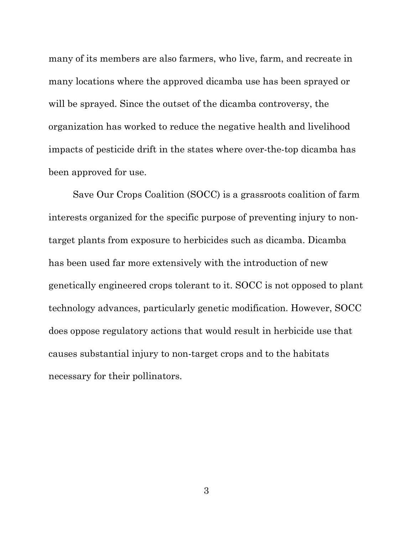many of its members are also farmers, who live, farm, and recreate in many locations where the approved dicamba use has been sprayed or will be sprayed. Since the outset of the dicamba controversy, the organization has worked to reduce the negative health and livelihood impacts of pesticide drift in the states where over-the-top dicamba has been approved for use.

Save Our Crops Coalition (SOCC) is a grassroots coalition of farm interests organized for the specific purpose of preventing injury to nontarget plants from exposure to herbicides such as dicamba. Dicamba has been used far more extensively with the introduction of new genetically engineered crops tolerant to it. SOCC is not opposed to plant technology advances, particularly genetic modification. However, SOCC does oppose regulatory actions that would result in herbicide use that causes substantial injury to non-target crops and to the habitats necessary for their pollinators.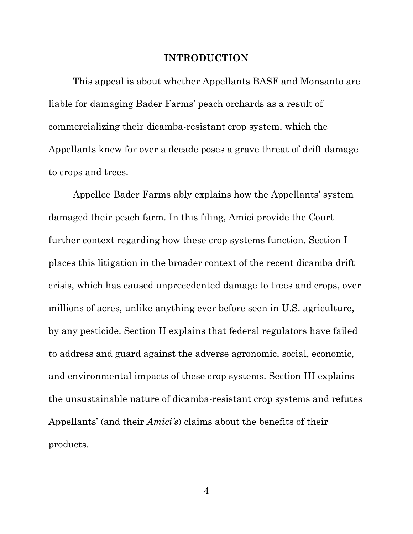#### <span id="page-19-0"></span>**INTRODUCTION**

This appeal is about whether Appellants BASF and Monsanto are liable for damaging Bader Farms' peach orchards as a result of commercializing their dicamba-resistant crop system, which the Appellants knew for over a decade poses a grave threat of drift damage to crops and trees.

Appellee Bader Farms ably explains how the Appellants' system damaged their peach farm. In this filing, Amici provide the Court further context regarding how these crop systems function. Section I places this litigation in the broader context of the recent dicamba drift crisis, which has caused unprecedented damage to trees and crops, over millions of acres, unlike anything ever before seen in U.S. agriculture, by any pesticide. Section II explains that federal regulators have failed to address and guard against the adverse agronomic, social, economic, and environmental impacts of these crop systems. Section III explains the unsustainable nature of dicamba-resistant crop systems and refutes Appellants' (and their *Amici's*) claims about the benefits of their products.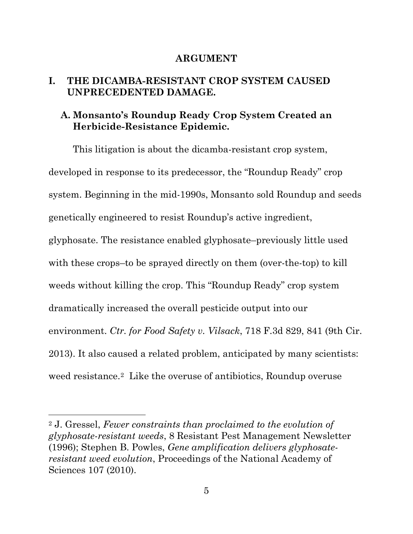#### <span id="page-20-2"></span><span id="page-20-1"></span><span id="page-20-0"></span>**ARGUMENT**

### **I. THE DICAMBA-RESISTANT CROP SYSTEM CAUSED UNPRECEDENTED DAMAGE.**

### **A. Monsanto's Roundup Ready Crop System Created an Herbicide-Resistance Epidemic.**

This litigation is about the dicamba-resistant crop system, developed in response to its predecessor, the "Roundup Ready" crop system. Beginning in the mid-1990s, Monsanto sold Roundup and seeds genetically engineered to resist Roundup's active ingredient, glyphosate. The resistance enabled glyphosate–previously little used with these crops–to be sprayed directly on them (over-the-top) to kill weeds without killing the crop. This "Roundup Ready" crop system dramatically increased the overall pesticide output into our environment. *Ctr. for Food Safety v. Vilsack*, 718 F.3d 829, 841 (9th Cir. 2013). It also caused a related problem, anticipated by many scientists: weed resistance.[2](#page-20-6) Like the overuse of antibiotics, Roundup overuse

<span id="page-20-6"></span><span id="page-20-5"></span><span id="page-20-4"></span><span id="page-20-3"></span><sup>2</sup> J. Gressel, *Fewer constraints than proclaimed to the evolution of glyphosate-resistant weeds*, 8 Resistant Pest Management Newsletter (1996); Stephen B. Powles, *Gene amplification delivers glyphosateresistant weed evolution*, Proceedings of the National Academy of Sciences 107 (2010).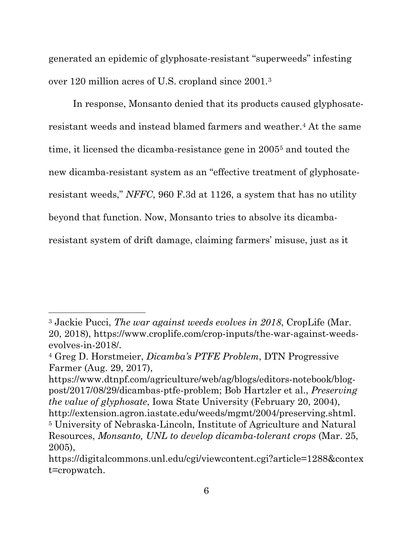generated an epidemic of glyphosate-resistant "superweeds" infesting over 120 million acres of U.S. cropland since 2001.[3](#page-21-4)

In response, Monsanto denied that its products caused glyphosateresistant weeds and instead blamed farmers and weather[.4](#page-21-5) At the same time, it licensed the dicamba-resistance gene in 2005[5](#page-21-6) and touted the new dicamba-resistant system as an "effective treatment of glyphosateresistant weeds," *NFFC*, 960 F.3d at 1126, a system that has no utility beyond that function. Now, Monsanto tries to absolve its dicambaresistant system of drift damage, claiming farmers' misuse, just as it

<span id="page-21-4"></span><span id="page-21-2"></span><sup>3</sup> Jackie Pucci, *The war against weeds evolves in 2018*, CropLife (Mar. 20, 2018), https://www.croplife.com/crop-inputs/the-war-against-weedsevolves-in-2018/.

<span id="page-21-5"></span><span id="page-21-1"></span><sup>4</sup> Greg D. Horstmeier, *Dicamba's PTFE Problem*, DTN Progressive Farmer (Aug. 29, 2017),

<span id="page-21-0"></span>https://www.dtnpf.com/agriculture/web/ag/blogs/editors-notebook/blogpost/2017/08/29/dicambas-ptfe-problem; Bob Hartzler et al., *Preserving the value of glyphosate*, Iowa State University (February 20, 2004), [http://extension.agron.iastate.edu/weeds/mgmt/2004/preserving.shtml.](http://extension.agron.iastate.edu/weeds/mgmt/2004/preserving.shtml) <sup>5</sup> University of Nebraska-Lincoln, Institute of Agriculture and Natural Resources, *Monsanto, UNL to develop dicamba-tolerant crops* (Mar. 25, 2005),

<span id="page-21-6"></span><span id="page-21-3"></span>https://digitalcommons.unl.edu/cgi/viewcontent.cgi?article=1288&contex t=cropwatch.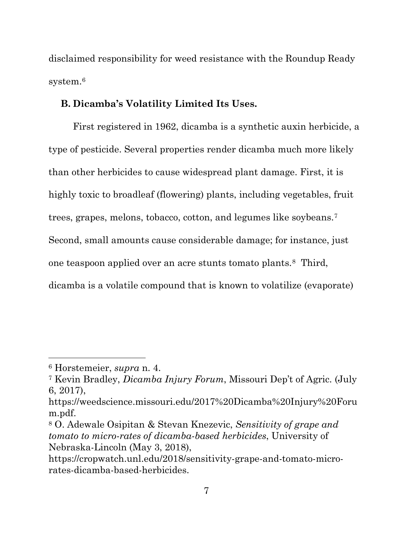disclaimed responsibility for weed resistance with the Roundup Ready system.<sup>[6](#page-22-3)</sup>

#### <span id="page-22-0"></span>**B. Dicamba's Volatility Limited Its Uses.**

First registered in 1962, dicamba is a synthetic auxin herbicide, a type of pesticide. Several properties render dicamba much more likely than other herbicides to cause widespread plant damage. First, it is highly toxic to broadleaf (flowering) plants, including vegetables, fruit trees, grapes, melons, tobacco, cotton, and legumes like soybeans.[7](#page-22-4)  Second, small amounts cause considerable damage; for instance, just one teaspoon applied over an acre stunts tomato plants.[8](#page-22-5) Third, dicamba is a volatile compound that is known to volatilize (evaporate)

<span id="page-22-3"></span><sup>6</sup> Horstemeier, *supra* n. 4.

<span id="page-22-4"></span><span id="page-22-1"></span><sup>7</sup> Kevin Bradley, *Dicamba Injury Forum*, Missouri Dep't of Agric. (July 6, 2017),

https://weedscience.missouri.edu/2017%20Dicamba%20Injury%20Foru m.pdf.

<span id="page-22-5"></span><span id="page-22-2"></span><sup>8</sup> O. Adewale Osipitan & Stevan Knezevic, *Sensitivity of grape and tomato to micro-rates of dicamba-based herbicides*, University of Nebraska-Lincoln (May 3, 2018),

https://cropwatch.unl.edu/2018/sensitivity-grape-and-tomato-microrates-dicamba-based-herbicides.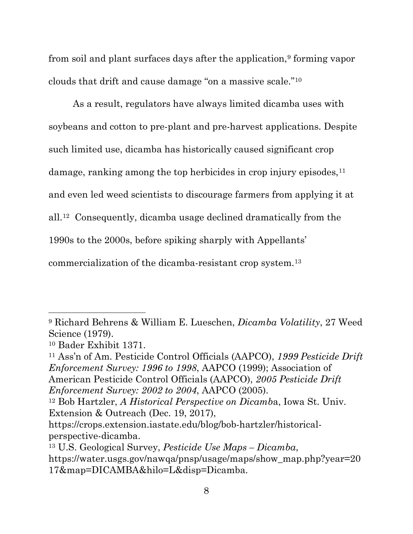from soil and plant surfaces days after the application,<sup>[9](#page-23-3)</sup> forming vapor clouds that drift and cause damage "on a massive scale.["10](#page-23-4)

As a result, regulators have always limited dicamba uses with soybeans and cotton to pre-plant and pre-harvest applications. Despite such limited use, dicamba has historically caused significant crop damage, ranking among the top herbicides in crop injury episodes, <sup>[11](#page-23-5)</sup> and even led weed scientists to discourage farmers from applying it at all.[12](#page-23-6) Consequently, dicamba usage declined dramatically from the 1990s to the 2000s, before spiking sharply with Appellants' commercialization of the dicamba-resistant crop system.[13](#page-23-7)

<span id="page-23-5"></span><sup>11</sup> Ass'n of Am. Pesticide Control Officials (AAPCO), *1999 Pesticide Drift Enforcement Survey: 1996 to 1998*, AAPCO (1999); Association of American Pesticide Control Officials (AAPCO), *2005 Pesticide Drift Enforcement Survey: 2002 to 2004*, AAPCO (2005).

<span id="page-23-3"></span><span id="page-23-1"></span><sup>9</sup> Richard Behrens & William E. Lueschen, *Dicamba Volatility*, 27 Weed Science (1979).

<span id="page-23-4"></span><sup>10</sup> Bader Exhibit 1371.

<span id="page-23-6"></span><span id="page-23-0"></span><sup>12</sup> Bob Hartzler, *A Historical Perspective on Dicamb*a, Iowa St. Univ. Extension & Outreach (Dec. 19, 2017),

https://crops.extension.iastate.edu/blog/bob-hartzler/historicalperspective-dicamba.

<span id="page-23-7"></span><span id="page-23-2"></span><sup>13</sup> U.S. Geological Survey, *Pesticide Use Maps – Dicamba*,

https://water.usgs.gov/nawqa/pnsp/usage/maps/show\_map.php?year=20 17&map=DICAMBA&hilo=L&disp=Dicamba.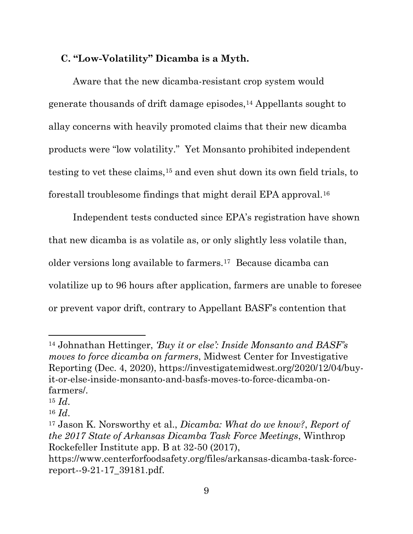### <span id="page-24-0"></span>**C. "Low-Volatility" Dicamba is a Myth.**

Aware that the new dicamba-resistant crop system would generate thousands of drift damage episodes,[14](#page-24-3) Appellants sought to allay concerns with heavily promoted claims that their new dicamba products were "low volatility." Yet Monsanto prohibited independent testing to vet these claims,[15](#page-24-4) and even shut down its own field trials, to forestall troublesome findings that might derail EPA approval.[16](#page-24-5)

Independent tests conducted since EPA's registration have shown that new dicamba is as volatile as, or only slightly less volatile than, older versions long available to farmers.[17](#page-24-6) Because dicamba can volatilize up to 96 hours after application, farmers are unable to foresee or prevent vapor drift, contrary to Appellant BASF's contention that

<span id="page-24-3"></span><span id="page-24-2"></span><sup>14</sup> Johnathan Hettinger, *'Buy it or else': Inside Monsanto and BASF's moves to force dicamba on farmers*, Midwest Center for Investigative Reporting (Dec. 4, 2020), https://investigatemidwest.org/2020/12/04/buyit-or-else-inside-monsanto-and-basfs-moves-to-force-dicamba-onfarmers/.

<span id="page-24-4"></span><sup>15</sup> *Id*.

<span id="page-24-5"></span><sup>16</sup> *Id*.

<span id="page-24-6"></span><span id="page-24-1"></span><sup>17</sup> Jason K. Norsworthy et al., *Dicamba: What do we know?*, *Report of the 2017 State of Arkansas Dicamba Task Force Meetings*, Winthrop Rockefeller Institute app. B at 32-50 (2017),

https://www.centerforfoodsafety.org/files/arkansas-dicamba-task-forcereport--9-21-17\_39181.pdf.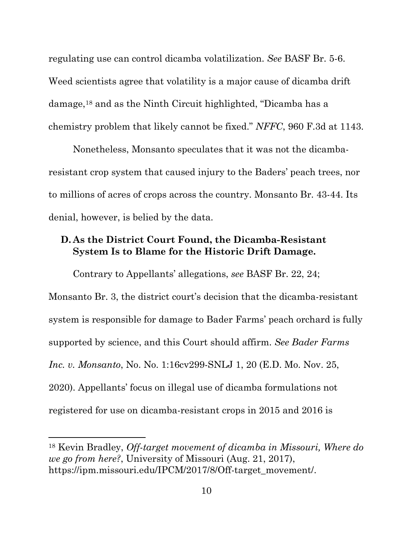regulating use can control dicamba volatilization. *See* BASF Br. 5-6. Weed scientists agree that volatility is a major cause of dicamba drift damage,[18](#page-25-2) and as the Ninth Circuit highlighted, "Dicamba has a chemistry problem that likely cannot be fixed." *NFFC*, 960 F.3d at 1143.

Nonetheless, Monsanto speculates that it was not the dicambaresistant crop system that caused injury to the Baders' peach trees, nor to millions of acres of crops across the country. Monsanto Br. 43-44. Its denial, however, is belied by the data.

### <span id="page-25-0"></span>**D. As the District Court Found, the Dicamba-Resistant System Is to Blame for the Historic Drift Damage.**

Contrary to Appellants' allegations, *see* BASF Br. 22, 24; Monsanto Br. 3, the district court's decision that the dicamba-resistant system is responsible for damage to Bader Farms' peach orchard is fully supported by science, and this Court should affirm. *See Bader Farms Inc. v. Monsanto*, No. No. 1:16cv299-SNLJ 1, 20 (E.D. Mo. Nov. 25, 2020). Appellants' focus on illegal use of dicamba formulations not registered for use on dicamba-resistant crops in 2015 and 2016 is

<span id="page-25-2"></span><span id="page-25-1"></span><sup>18</sup> Kevin Bradley, *Off-target movement of dicamba in Missouri, Where do we go from here?*, University of Missouri (Aug. 21, 2017), https://ipm.missouri.edu/IPCM/2017/8/Off-target\_movement/.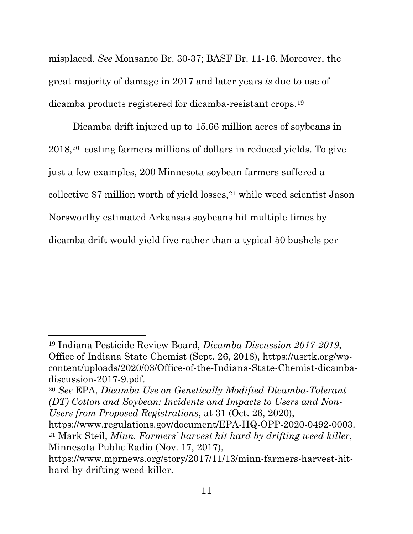misplaced. *See* Monsanto Br. 30-37; BASF Br. 11-16. Moreover, the great majority of damage in 2017 and later years *is* due to use of dicamba products registered for dicamba-resistant crops.[19](#page-26-2)

Dicamba drift injured up to 15.66 million acres of soybeans in 2018,[20](#page-26-3) costing farmers millions of dollars in reduced yields. To give just a few examples, 200 Minnesota soybean farmers suffered a collective  $$7$  million worth of yield losses,<sup>[21](#page-26-4)</sup> while weed scientist Jason Norsworthy estimated Arkansas soybeans hit multiple times by dicamba drift would yield five rather than a typical 50 bushels per

<span id="page-26-2"></span><span id="page-26-0"></span><sup>19</sup> Indiana Pesticide Review Board, *Dicamba Discussion 2017-2019*, Office of Indiana State Chemist (Sept. 26, 2018), https://usrtk.org/wpcontent/uploads/2020/03/Office-of-the-Indiana-State-Chemist-dicambadiscussion-2017-9.pdf.

<span id="page-26-3"></span><sup>20</sup> *See* EPA, *Dicamba Use on Genetically Modified Dicamba-Tolerant (DT) Cotton and Soybean: Incidents and Impacts to Users and Non-Users from Proposed Registrations*, at 31 (Oct. 26, 2020),

<span id="page-26-4"></span><span id="page-26-1"></span>https://www.regulations.gov/document/EPA-HQ-OPP-2020-0492-0003. <sup>21</sup> Mark Steil, *Minn. Farmers' harvest hit hard by drifting weed killer*, Minnesota Public Radio (Nov. 17, 2017),

https://www.mprnews.org/story/2017/11/13/minn-farmers-harvest-hithard-by-drifting-weed-killer.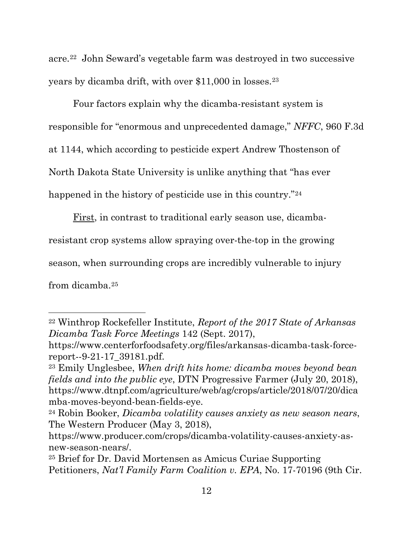acre.[22](#page-27-4) John Seward's vegetable farm was destroyed in two successive years by dicamba drift, with over \$11,000 in losses[.23](#page-27-5)

Four factors explain why the dicamba-resistant system is responsible for "enormous and unprecedented damage," *NFFC*, 960 F.3d at 1144, which according to pesticide expert Andrew Thostenson of North Dakota State University is unlike anything that "has ever happened in the history of pesticide use in this country."<sup>[24](#page-27-6)</sup>

First, in contrast to traditional early season use, dicamba-

resistant crop systems allow spraying over-the-top in the growing

season, when surrounding crops are incredibly vulnerable to injury

from dicamba.[25](#page-27-7)

<span id="page-27-4"></span><span id="page-27-3"></span><sup>22</sup> Winthrop Rockefeller Institute, *Report of the 2017 State of Arkansas Dicamba Task Force Meetings* 142 (Sept. 2017),

https://www.centerforfoodsafety.org/files/arkansas-dicamba-task-forcereport--9-21-17\_39181.pdf.

<span id="page-27-5"></span><span id="page-27-1"></span><sup>23</sup> Emily Unglesbee, *When drift hits home: dicamba moves beyond bean fields and into the public eye*, DTN Progressive Farmer (July 20, 2018), https://www.dtnpf.com/agriculture/web/ag/crops/article/2018/07/20/dica mba-moves-beyond-bean-fields-eye.

<span id="page-27-6"></span><span id="page-27-2"></span><sup>24</sup> Robin Booker, *Dicamba volatility causes anxiety as new season nears*, The Western Producer (May 3, 2018),

https://www.producer.com/crops/dicamba-volatility-causes-anxiety-asnew-season-nears/.

<span id="page-27-7"></span><span id="page-27-0"></span><sup>25</sup> Brief for Dr. David Mortensen as Amicus Curiae Supporting Petitioners, *Nat'l Family Farm Coalition v. EPA*, No. 17-70196 (9th Cir.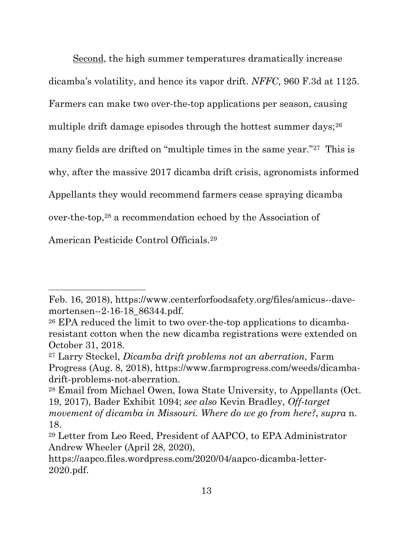Second, the high summer temperatures dramatically increase dicamba's volatility, and hence its vapor drift. *NFFC,* 960 F.3d at 1125. Farmers can make two over-the-top applications per season, causing multiple drift damage episodes through the hottest summer days;  $26$ many fields are drifted on "multiple times in the same year."[27](#page-28-3) This is why, after the massive 2017 dicamba drift crisis, agronomists informed Appellants they would recommend farmers cease spraying dicamba over-the-top,[28](#page-28-4) a recommendation echoed by the Association of

American Pesticide Control Officials.[29](#page-28-5)

Feb. 16, 2018), https://www.centerforfoodsafety.org/files/amicus--davemortensen--2-16-18\_86344.pdf.

<span id="page-28-2"></span><sup>26</sup> EPA reduced the limit to two over-the-top applications to dicambaresistant cotton when the new dicamba registrations were extended on October 31, 2018.

<span id="page-28-3"></span><span id="page-28-0"></span><sup>27</sup> Larry Steckel, *Dicamba drift problems not an aberration*, Farm Progress (Aug. 8, 2018), https://www.farmprogress.com/weeds/dicambadrift-problems-not-aberration.

<span id="page-28-4"></span><sup>28</sup> Email from Michael Owen, Iowa State University, to Appellants (Oct. 19, 2017), Bader Exhibit 1094; *see also* Kevin Bradley, *Off-target movement of dicamba in Missouri. Where do we go from here?*, *supra* n. 18.

<span id="page-28-5"></span><span id="page-28-1"></span><sup>29</sup> Letter from Leo Reed, President of AAPCO, to EPA Administrator Andrew Wheeler (April 28, 2020),

https://aapco.files.wordpress.com/2020/04/aapco-dicamba-letter-2020.pdf.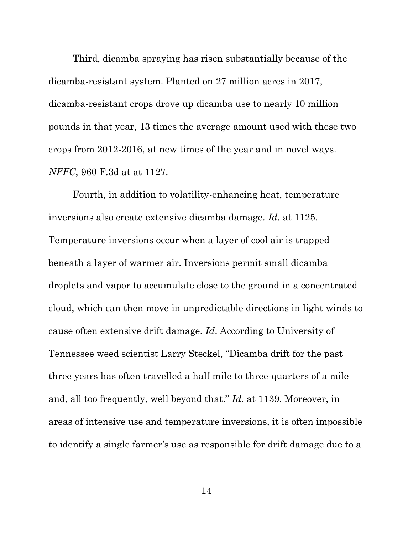Third, dicamba spraying has risen substantially because of the dicamba-resistant system. Planted on 27 million acres in 2017, dicamba-resistant crops drove up dicamba use to nearly 10 million pounds in that year, 13 times the average amount used with these two crops from 2012-2016, at new times of the year and in novel ways. *NFFC*, 960 F.3d at at 1127.

Fourth, in addition to volatility-enhancing heat, temperature inversions also create extensive dicamba damage. *Id.* at 1125. Temperature inversions occur when a layer of cool air is trapped beneath a layer of warmer air. Inversions permit small dicamba droplets and vapor to accumulate close to the ground in a concentrated cloud, which can then move in unpredictable directions in light winds to cause often extensive drift damage. *Id*. According to University of Tennessee weed scientist Larry Steckel, "Dicamba drift for the past three years has often travelled a half mile to three-quarters of a mile and, all too frequently, well beyond that." *Id.* at 1139. Moreover, in areas of intensive use and temperature inversions, it is often impossible to identify a single farmer's use as responsible for drift damage due to a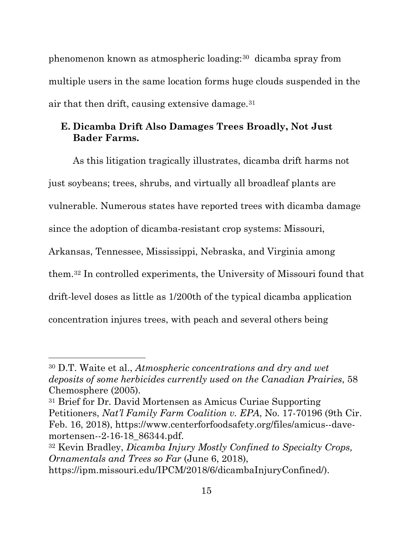phenomenon known as atmospheric loading:[30](#page-30-3) dicamba spray from multiple users in the same location forms huge clouds suspended in the air that then drift, causing extensive damage.[31](#page-30-4)

### <span id="page-30-0"></span>**E. Dicamba Drift Also Damages Trees Broadly, Not Just Bader Farms.**

As this litigation tragically illustrates, dicamba drift harms not just soybeans; trees, shrubs, and virtually all broadleaf plants are vulnerable. Numerous states have reported trees with dicamba damage since the adoption of dicamba-resistant crop systems: Missouri, Arkansas, Tennessee, Mississippi, Nebraska, and Virginia among them.[32](#page-30-5) In controlled experiments, the University of Missouri found that drift-level doses as little as 1/200th of the typical dicamba application concentration injures trees, with peach and several others being

<span id="page-30-3"></span><span id="page-30-1"></span><sup>30</sup> D.T. Waite et al., *Atmospheric concentrations and dry and wet deposits of some herbicides currently used on the Canadian Prairies*, 58 Chemosphere (2005).

<span id="page-30-4"></span><sup>31</sup> Brief for Dr. David Mortensen as Amicus Curiae Supporting Petitioners, *Nat'l Family Farm Coalition v. EPA*, No. 17-70196 (9th Cir. Feb. 16, 2018), https://www.centerforfoodsafety.org/files/amicus--davemortensen--2-16-18\_86344.pdf.

<span id="page-30-5"></span><span id="page-30-2"></span><sup>32</sup> Kevin Bradley, *Dicamba Injury Mostly Confined to Specialty Crops, Ornamentals and Trees so Far* (June 6, 2018),

https://ipm.missouri.edu/IPCM/2018/6/dicambaInjuryConfined/).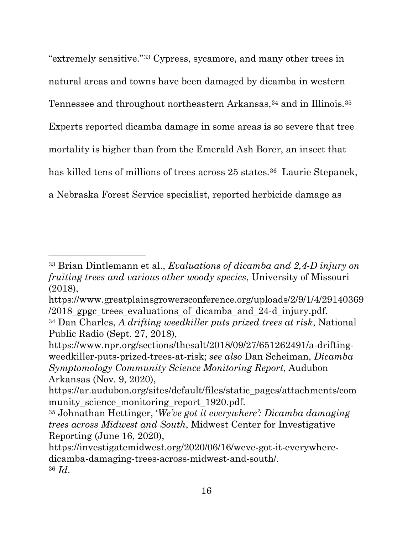"extremely sensitive."[33](#page-31-5) Cypress, sycamore, and many other trees in natural areas and towns have been damaged by dicamba in western Tennessee and throughout northeastern Arkansas,<sup>[34](#page-31-6)</sup> and in Illinois.<sup>[35](#page-31-7)</sup> Experts reported dicamba damage in some areas is so severe that tree mortality is higher than from the Emerald Ash Borer, an insect that has killed tens of millions of trees across 25 states.<sup>[36](#page-31-8)</sup> Laurie Stepanek, a Nebraska Forest Service specialist, reported herbicide damage as

<span id="page-31-5"></span><span id="page-31-0"></span><sup>33</sup> Brian Dintlemann et al., *Evaluations of dicamba and 2,4-D injury on fruiting trees and various other woody species*, University of Missouri (2018),

https://www.greatplainsgrowersconference.org/uploads/2/9/1/4/29140369  $/2018$  gpgc trees evaluations of dicamba and 24-d injury.pdf.

<span id="page-31-6"></span><span id="page-31-1"></span><sup>34</sup> Dan Charles, *A drifting weedkiller puts prized trees at risk*, National Public Radio (Sept. 27, 2018),

<span id="page-31-2"></span>https://www.npr.org/sections/thesalt/2018/09/27/651262491/a-driftingweedkiller-puts-prized-trees-at-risk; *see also* Dan Scheiman, *Dicamba Symptomology Community Science Monitoring Report*, Audubon Arkansas (Nov. 9, 2020),

https://ar.audubon.org/sites/default/files/static\_pages/attachments/com munity\_science\_monitoring\_report\_1920.pdf.

<span id="page-31-7"></span><span id="page-31-3"></span><sup>35</sup> Johnathan Hettinger, '*We've got it everywhere': Dicamba damaging trees across Midwest and South*, Midwest Center for Investigative Reporting (June 16, 2020),

<span id="page-31-8"></span><span id="page-31-4"></span>https://investigatemidwest.org/2020/06/16/weve-got-it-everywheredicamba-damaging-trees-across-midwest-and-south/. <sup>36</sup> *Id*.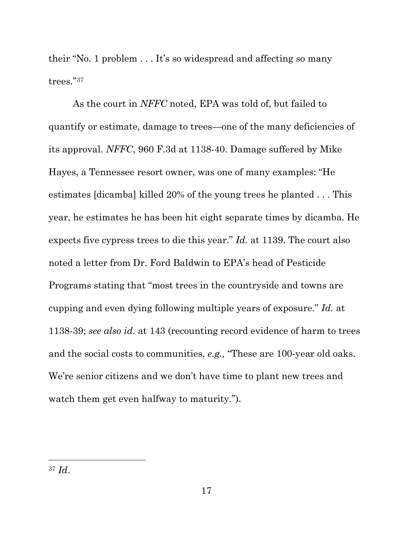their "No. 1 problem . . . It's so widespread and affecting so many trees."[37](#page-32-0)

As the court in *NFFC* noted, EPA was told of, but failed to quantify or estimate, damage to trees—one of the many deficiencies of its approval. *NFFC*, 960 F.3d at 1138-40. Damage suffered by Mike Hayes, a Tennessee resort owner, was one of many examples: "He estimates [dicamba] killed 20% of the young trees he planted . . . This year, he estimates he has been hit eight separate times by dicamba. He expects five cypress trees to die this year." *Id.* at 1139. The court also noted a letter from Dr. Ford Baldwin to EPA's head of Pesticide Programs stating that "most trees in the countryside and towns are cupping and even dying following multiple years of exposure." *Id.* at 1138-39; *see also id.* at 143 (recounting record evidence of harm to trees and the social costs to communities, *e.g.,* "These are 100-year old oaks. We're senior citizens and we don't have time to plant new trees and watch them get even halfway to maturity.").

<span id="page-32-0"></span><sup>37</sup> *Id*.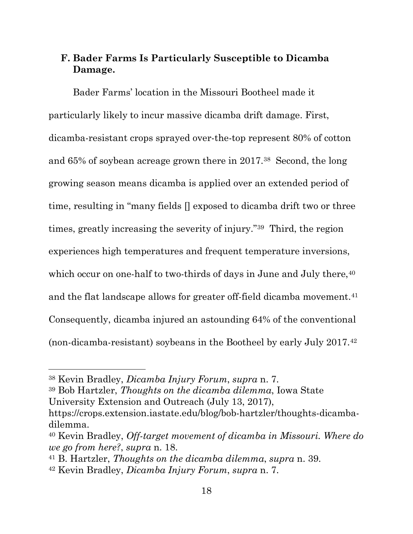### <span id="page-33-0"></span>**F. Bader Farms Is Particularly Susceptible to Dicamba Damage.**

Bader Farms' location in the Missouri Bootheel made it particularly likely to incur massive dicamba drift damage. First, dicamba-resistant crops sprayed over-the-top represent 80% of cotton and 65% of soybean acreage grown there in 2017.[38](#page-33-2) Second, the long growing season means dicamba is applied over an extended period of time, resulting in "many fields [] exposed to dicamba drift two or three times, greatly increasing the severity of injury."[39](#page-33-3) Third, the region experiences high temperatures and frequent temperature inversions, which occur on one-half to two-thirds of days in June and July there, <sup>40</sup> and the flat landscape allows for greater off-field dicamba movement.<sup>[41](#page-33-5)</sup> Consequently, dicamba injured an astounding 64% of the conventional (non-dicamba-resistant) soybeans in the Bootheel by early July 2017.[42](#page-33-6)

<span id="page-33-2"></span><sup>38</sup> Kevin Bradley, *Dicamba Injury Forum*, *supra* n. 7.

<span id="page-33-3"></span><sup>39</sup> Bob Hartzler, *Thoughts on the dicamba dilemma*, Iowa State University Extension and Outreach (July 13, 2017),

https://crops.extension.iastate.edu/blog/bob-hartzler/thoughts-dicambadilemma.

<span id="page-33-4"></span><sup>40</sup> Kevin Bradley, *Off-target movement of dicamba in Missouri. Where do we go from here?*, *supra* n. 18.

<span id="page-33-5"></span><span id="page-33-1"></span><sup>41</sup> B. Hartzler, *Thoughts on the dicamba dilemma*, *supra* n. 39.

<span id="page-33-6"></span><sup>42</sup> Kevin Bradley, *Dicamba Injury Forum*, *supra* n. 7.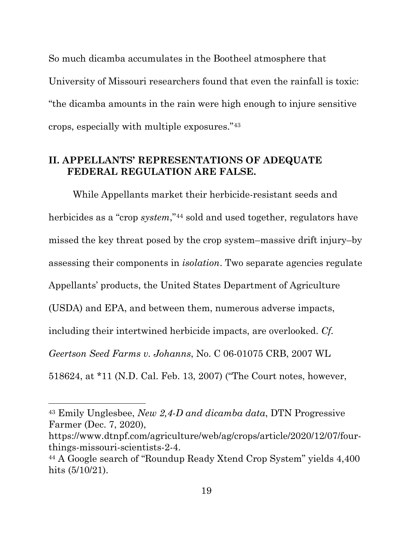So much dicamba accumulates in the Bootheel atmosphere that University of Missouri researchers found that even the rainfall is toxic: "the dicamba amounts in the rain were high enough to injure sensitive crops, especially with multiple exposures."[43](#page-34-3)

### <span id="page-34-0"></span>**II. APPELLANTS' REPRESENTATIONS OF ADEQUATE FEDERAL REGULATION ARE FALSE.**

While Appellants market their herbicide-resistant seeds and herbicides as a "crop *system*,"<sup>44</sup> sold and used together, regulators have missed the key threat posed by the crop system–massive drift injury–by assessing their components in *isolation*. Two separate agencies regulate Appellants' products, the United States Department of Agriculture (USDA) and EPA, and between them, numerous adverse impacts, including their intertwined herbicide impacts, are overlooked. *Cf. Geertson Seed Farms v. Johanns*, No. C 06-01075 CRB, 2007 WL 518624, at \*11 (N.D. Cal. Feb. 13, 2007) ("The Court notes, however,

https://www.dtnpf.com/agriculture/web/ag/crops/article/2020/12/07/fourthings-missouri-scientists-2-4.

<span id="page-34-3"></span><span id="page-34-2"></span><span id="page-34-1"></span><sup>43</sup> Emily Unglesbee, *New 2,4-D and dicamba data*, DTN Progressive Farmer (Dec. 7, 2020),

<span id="page-34-4"></span><sup>44</sup> A Google search of "Roundup Ready Xtend Crop System" yields 4,400 hits (5/10/21).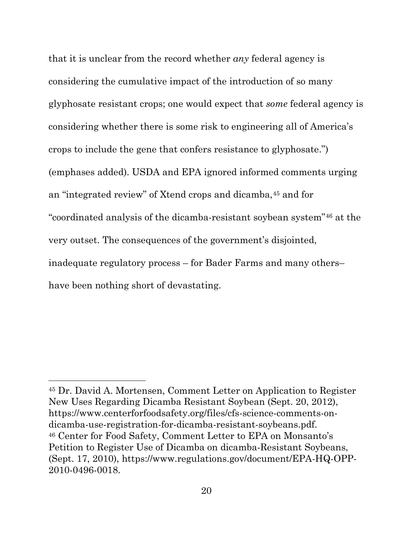that it is unclear from the record whether *any* federal agency is considering the cumulative impact of the introduction of so many glyphosate resistant crops; one would expect that *some* federal agency is considering whether there is some risk to engineering all of America's crops to include the gene that confers resistance to glyphosate.") (emphases added). USDA and EPA ignored informed comments urging an "integrated review" of Xtend crops and dicamba,[45](#page-35-2) and for "coordinated analysis of the dicamba-resistant soybean system"[46](#page-35-3) at the very outset. The consequences of the government's disjointed, inadequate regulatory process – for Bader Farms and many others– have been nothing short of devastating.

<span id="page-35-3"></span><span id="page-35-2"></span><span id="page-35-1"></span><span id="page-35-0"></span><sup>45</sup> Dr. David A. Mortensen, Comment Letter on Application to Register New Uses Regarding Dicamba Resistant Soybean (Sept. 20, 2012), https://www.centerforfoodsafety.org/files/cfs-science-comments-ondicamba-use-registration-for-dicamba-resistant-soybeans.pdf. <sup>46</sup> Center for Food Safety, Comment Letter to EPA on Monsanto's Petition to Register Use of Dicamba on dicamba-Resistant Soybeans, (Sept. 17, 2010), https://www.regulations.gov/document/EPA-HQ-OPP-2010-0496-0018.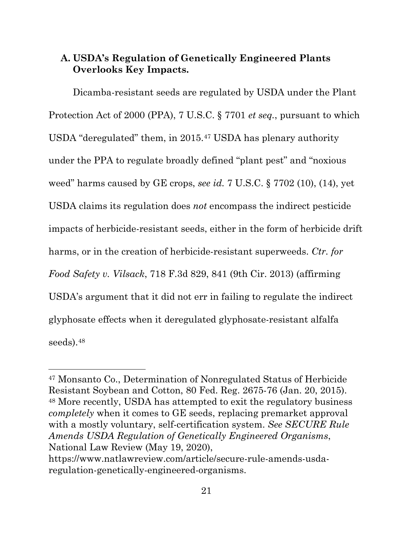### <span id="page-36-2"></span><span id="page-36-0"></span>**A. USDA's Regulation of Genetically Engineered Plants Overlooks Key Impacts.**

<span id="page-36-3"></span>Dicamba-resistant seeds are regulated by USDA under the Plant Protection Act of 2000 (PPA), 7 U.S.C. § 7701 *et seq.*, pursuant to which USDA "deregulated" them, in 2015.[47](#page-36-6) USDA has plenary authority under the PPA to regulate broadly defined "plant pest" and "noxious weed" harms caused by GE crops, *see id.* 7 U.S.C. § 7702 (10), (14), yet USDA claims its regulation does *not* encompass the indirect pesticide impacts of herbicide-resistant seeds, either in the form of herbicide drift harms, or in the creation of herbicide-resistant superweeds. *Ctr. for Food Safety v. Vilsack*, 718 F.3d 829, 841 (9th Cir. 2013) (affirming USDA's argument that it did not err in failing to regulate the indirect glyphosate effects when it deregulated glyphosate-resistant alfalfa seeds).[48](#page-36-7)

<span id="page-36-7"></span><span id="page-36-6"></span><span id="page-36-5"></span><span id="page-36-4"></span><span id="page-36-1"></span><sup>47</sup> Monsanto Co., Determination of Nonregulated Status of Herbicide Resistant Soybean and Cotton, 80 Fed. Reg. 2675-76 (Jan. 20, 2015). <sup>48</sup> More recently, USDA has attempted to exit the regulatory business *completely* when it comes to GE seeds, replacing premarket approval with a mostly voluntary, self-certification system. *See SECURE Rule Amends USDA Regulation of Genetically Engineered Organisms*, National Law Review (May 19, 2020), https://www.natlawreview.com/article/secure-rule-amends-usda-

regulation-genetically-engineered-organisms.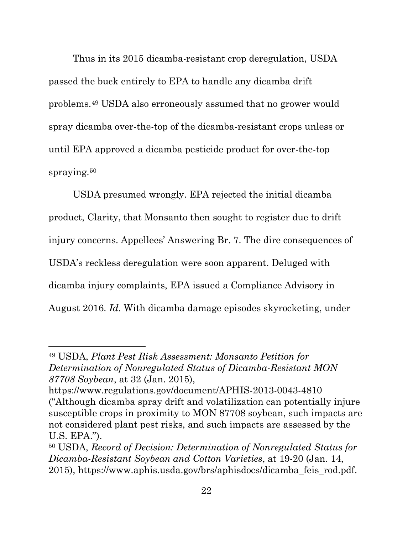Thus in its 2015 dicamba-resistant crop deregulation, USDA passed the buck entirely to EPA to handle any dicamba drift problems.[49](#page-37-2) USDA also erroneously assumed that no grower would spray dicamba over-the-top of the dicamba-resistant crops unless or until EPA approved a dicamba pesticide product for over-the-top spraying.[50](#page-37-3)

USDA presumed wrongly. EPA rejected the initial dicamba product, Clarity, that Monsanto then sought to register due to drift injury concerns. Appellees' Answering Br. 7. The dire consequences of USDA's reckless deregulation were soon apparent. Deluged with dicamba injury complaints, EPA issued a Compliance Advisory in August 2016. *Id.* With dicamba damage episodes skyrocketing, under

<span id="page-37-2"></span><sup>49</sup> USDA, *Plant Pest Risk Assessment: Monsanto Petition for Determination of Nonregulated Status of Dicamba-Resistant MON 87708 Soybean*, at 32 (Jan. 2015),

<span id="page-37-0"></span>https://www.regulations.gov/document/APHIS-2013-0043-4810 ("Although dicamba spray drift and volatilization can potentially injure susceptible crops in proximity to MON 87708 soybean, such impacts are not considered plant pest risks, and such impacts are assessed by the U.S. EPA.").

<span id="page-37-3"></span><span id="page-37-1"></span><sup>50</sup> USDA, *Record of Decision: Determination of Nonregulated Status for Dicamba-Resistant Soybean and Cotton Varieties*, at 19-20 (Jan. 14, 2015), https://www.aphis.usda.gov/brs/aphisdocs/dicamba\_feis\_rod.pdf.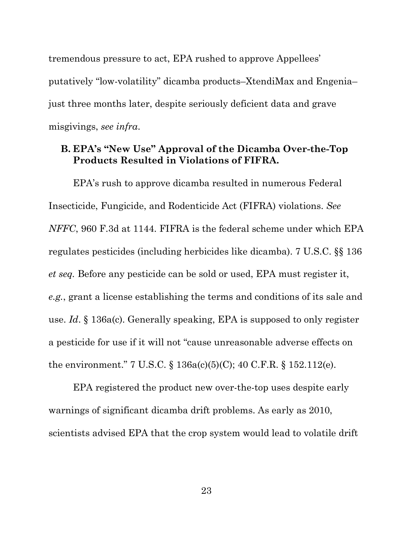tremendous pressure to act, EPA rushed to approve Appellees' putatively "low-volatility" dicamba products–XtendiMax and Engenia– just three months later, despite seriously deficient data and grave misgivings, *see infra*.

### <span id="page-38-3"></span><span id="page-38-1"></span><span id="page-38-0"></span>**B. EPA's "New Use" Approval of the Dicamba Over-the-Top Products Resulted in Violations of FIFRA.**

EPA's rush to approve dicamba resulted in numerous Federal Insecticide, Fungicide, and Rodenticide Act (FIFRA) violations. *See NFFC*, 960 F.3d at 1144. FIFRA is the federal scheme under which EPA regulates pesticides (including herbicides like dicamba). 7 U.S.C. §§ 136 *et seq.* Before any pesticide can be sold or used, EPA must register it, *e.g.*, grant a license establishing the terms and conditions of its sale and use. *Id*. § 136a(c). Generally speaking, EPA is supposed to only register a pesticide for use if it will not "cause unreasonable adverse effects on the environment." 7 U.S.C. § 136a(c)(5)(C); 40 C.F.R. § 152.112(e).

<span id="page-38-4"></span><span id="page-38-2"></span>EPA registered the product new over-the-top uses despite early warnings of significant dicamba drift problems. As early as 2010, scientists advised EPA that the crop system would lead to volatile drift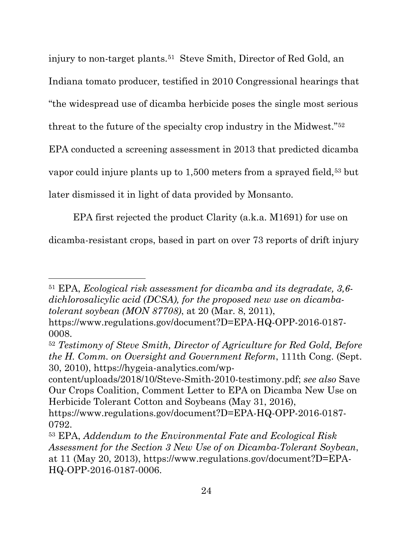injury to non-target plants.<sup>51</sup> Steve Smith, Director of Red Gold, an Indiana tomato producer, testified in 2010 Congressional hearings that "the widespread use of dicamba herbicide poses the single most serious threat to the future of the specialty crop industry in the Midwest."[52](#page-39-4) EPA conducted a screening assessment in 2013 that predicted dicamba vapor could injure plants up to 1,500 meters from a sprayed field,<sup>[53](#page-39-5)</sup> but later dismissed it in light of data provided by Monsanto.

EPA first rejected the product Clarity (a.k.a. M1691) for use on dicamba-resistant crops, based in part on over 73 reports of drift injury

<span id="page-39-3"></span><sup>51</sup> EPA, *Ecological risk assessment for dicamba and its degradate, 3,6 dichlorosalicylic acid (DCSA), for the proposed new use on dicambatolerant soybean (MON 87708)*, at 20 (Mar. 8, 2011),

<span id="page-39-1"></span>[https://www.regulations.gov/document?D=EPA-HQ-OPP-2016-0187-](https://www.regulations.gov/document?D=EPA-HQ-OPP-2016-0187-0008) [0008.](https://www.regulations.gov/document?D=EPA-HQ-OPP-2016-0187-0008)

<span id="page-39-4"></span><span id="page-39-2"></span><sup>52</sup> *Testimony of Steve Smith, Director of Agriculture for Red Gold, Before the H. Comm. on Oversight and Government Reform*, 111th Cong. (Sept. 30, 2010), [https://hygeia-analytics.com/wp-](https://hygeia-analytics.com/wp-content/uploads/2018/10/Steve-Smith-2010-testimony.pdf)

[content/uploads/2018/10/Steve-Smith-2010-testimony.pdf;](https://hygeia-analytics.com/wp-content/uploads/2018/10/Steve-Smith-2010-testimony.pdf) *see also* Save Our Crops Coalition, Comment Letter to EPA on Dicamba New Use on Herbicide Tolerant Cotton and Soybeans (May 31, 2016),

https://www.regulations.gov/document?D=EPA-HQ-OPP-2016-0187- 0792.

<span id="page-39-5"></span><span id="page-39-0"></span><sup>53</sup> EPA, *Addendum to the Environmental Fate and Ecological Risk Assessment for the Section 3 New Use of on Dicamba-Tolerant Soybean*, at 11 (May 20, 2013), https://www.regulations.gov/document?D=EPA-HQ-OPP-2016-0187-0006.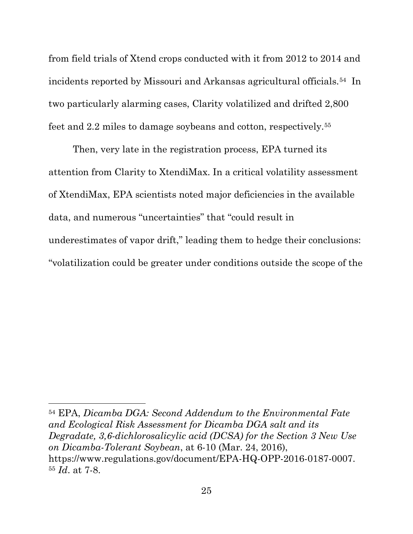from field trials of Xtend crops conducted with it from 2012 to 2014 and incidents reported by Missouri and Arkansas agricultural officials.[54](#page-40-0) In two particularly alarming cases, Clarity volatilized and drifted 2,800 feet and 2.2 miles to damage soybeans and cotton, respectively.[55](#page-40-1)

Then, very late in the registration process, EPA turned its attention from Clarity to XtendiMax. In a critical volatility assessment of XtendiMax, EPA scientists noted major deficiencies in the available data, and numerous "uncertainties" that "could result in underestimates of vapor drift," leading them to hedge their conclusions: "volatilization could be greater under conditions outside the scope of the

<span id="page-40-1"></span><span id="page-40-0"></span><sup>54</sup> EPA, *Dicamba DGA: Second Addendum to the Environmental Fate and Ecological Risk Assessment for Dicamba DGA salt and its Degradate, 3,6-dichlorosalicylic acid (DCSA) for the Section 3 New Use on Dicamba-Tolerant Soybean*, at 6-10 (Mar. 24, 2016), https://www.regulations.gov/document/EPA-HQ-OPP-2016-0187-0007. <sup>55</sup> *Id*. at 7-8.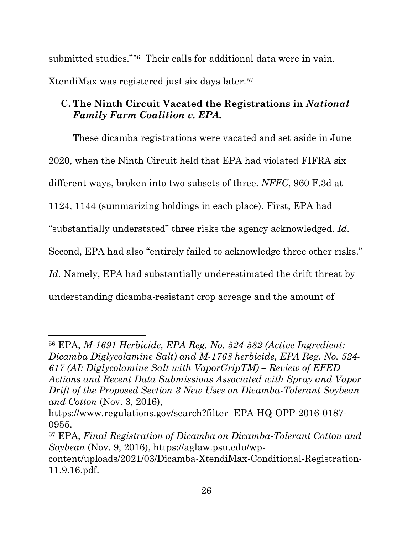submitted studies."[56](#page-41-3) Their calls for additional data were in vain. XtendiMax was registered just six days later.[57](#page-41-4)

### <span id="page-41-0"></span>**C. The Ninth Circuit Vacated the Registrations in** *National Family Farm Coalition v. EPA.*

These dicamba registrations were vacated and set aside in June 2020, when the Ninth Circuit held that EPA had violated FIFRA six different ways, broken into two subsets of three. *NFFC*, 960 F.3d at 1124, 1144 (summarizing holdings in each place). First, EPA had "substantially understated" three risks the agency acknowledged. *Id*. Second, EPA had also "entirely failed to acknowledge three other risks." *Id*. Namely, EPA had substantially underestimated the drift threat by understanding dicamba-resistant crop acreage and the amount of

<span id="page-41-3"></span><span id="page-41-2"></span><sup>56</sup> EPA, *M-1691 Herbicide, EPA Reg. No. 524-582 (Active Ingredient: Dicamba Diglycolamine Salt) and M-1768 herbicide, EPA Reg. No. 524- 617 (AI: Diglycolamine Salt with VaporGripTM) – Review of EFED Actions and Recent Data Submissions Associated with Spray and Vapor Drift of the Proposed Section 3 New Uses on Dicamba-Tolerant Soybean and Cotton* (Nov. 3, 2016),

[https://www.regulations.gov/search?filter=EPA-HQ-OPP-2016-0187-](https://www.regulations.gov/search?filter=EPA-HQ-OPP-2016-0187-0955)

<span id="page-41-4"></span><span id="page-41-1"></span>[<sup>0955.</sup>](https://www.regulations.gov/search?filter=EPA-HQ-OPP-2016-0187-0955) 57 EPA, *Final Registration of Dicamba on Dicamba-Tolerant Cotton and Soybean* (Nov. 9, 2016), https://aglaw.psu.edu/wp-

content/uploads/2021/03/Dicamba-XtendiMax-Conditional-Registration-11.9.16.pdf.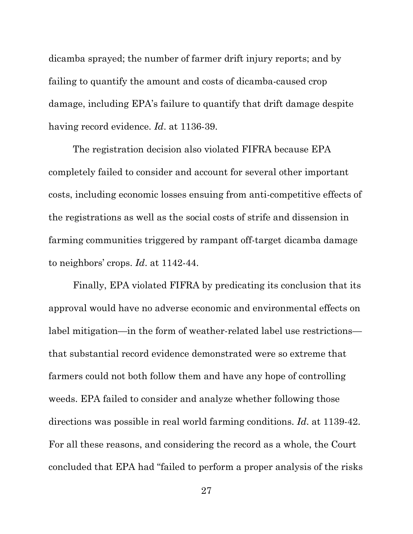dicamba sprayed; the number of farmer drift injury reports; and by failing to quantify the amount and costs of dicamba-caused crop damage, including EPA's failure to quantify that drift damage despite having record evidence. *Id*. at 1136-39.

The registration decision also violated FIFRA because EPA completely failed to consider and account for several other important costs, including economic losses ensuing from anti-competitive effects of the registrations as well as the social costs of strife and dissension in farming communities triggered by rampant off-target dicamba damage to neighbors' crops. *Id*. at 1142-44.

Finally, EPA violated FIFRA by predicating its conclusion that its approval would have no adverse economic and environmental effects on label mitigation—in the form of weather-related label use restrictions that substantial record evidence demonstrated were so extreme that farmers could not both follow them and have any hope of controlling weeds. EPA failed to consider and analyze whether following those directions was possible in real world farming conditions. *Id*. at 1139-42. For all these reasons, and considering the record as a whole, the Court concluded that EPA had "failed to perform a proper analysis of the risks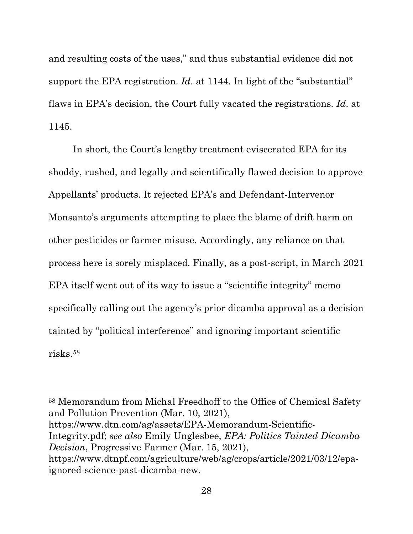and resulting costs of the uses," and thus substantial evidence did not support the EPA registration. *Id.* at 1144. In light of the "substantial" flaws in EPA's decision, the Court fully vacated the registrations. *Id*. at 1145.

In short, the Court's lengthy treatment eviscerated EPA for its shoddy, rushed, and legally and scientifically flawed decision to approve Appellants' products. It rejected EPA's and Defendant-Intervenor Monsanto's arguments attempting to place the blame of drift harm on other pesticides or farmer misuse. Accordingly, any reliance on that process here is sorely misplaced. Finally, as a post-script, in March 2021 EPA itself went out of its way to issue a "scientific integrity" memo specifically calling out the agency's prior dicamba approval as a decision tainted by "political interference" and ignoring important scientific risks.[58](#page-43-2)

<span id="page-43-2"></span><span id="page-43-1"></span><span id="page-43-0"></span><sup>58</sup> Memorandum from Michal Freedhoff to the Office of Chemical Safety and Pollution Prevention (Mar. 10, 2021), [https://www.dtn.com/ag/assets/EPA-Memorandum-Scientific-](https://www.dtn.com/ag/assets/EPA-Memorandum-Scientific-Integrity.pdf)[Integrity.pdf;](https://www.dtn.com/ag/assets/EPA-Memorandum-Scientific-Integrity.pdf) *see also* Emily Unglesbee, *EPA: Politics Tainted Dicamba Decision*, Progressive Farmer (Mar. 15, 2021), [https://www.dtnpf.com/agriculture/web/ag/crops/article/2021/03/12/epa](https://www.dtnpf.com/agriculture/web/ag/crops/article/2021/03/12/epa-ignored-science-past-dicamba-new)[ignored-science-past-dicamba-new.](https://www.dtnpf.com/agriculture/web/ag/crops/article/2021/03/12/epa-ignored-science-past-dicamba-new)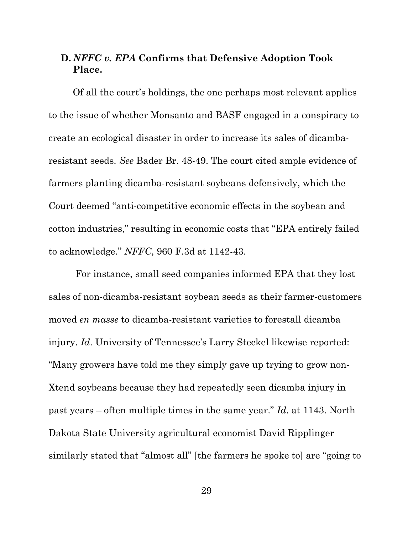### <span id="page-44-0"></span>**D.** *NFFC v. EPA* **Confirms that Defensive Adoption Took Place.**

Of all the court's holdings, the one perhaps most relevant applies to the issue of whether Monsanto and BASF engaged in a conspiracy to create an ecological disaster in order to increase its sales of dicambaresistant seeds. *See* Bader Br. 48-49. The court cited ample evidence of farmers planting dicamba-resistant soybeans defensively, which the Court deemed "anti-competitive economic effects in the soybean and cotton industries," resulting in economic costs that "EPA entirely failed to acknowledge." *NFFC*, 960 F.3d at 1142-43.

For instance, small seed companies informed EPA that they lost sales of non-dicamba-resistant soybean seeds as their farmer-customers moved *en masse* to dicamba-resistant varieties to forestall dicamba injury. *Id*. University of Tennessee's Larry Steckel likewise reported: "Many growers have told me they simply gave up trying to grow non-Xtend soybeans because they had repeatedly seen dicamba injury in past years – often multiple times in the same year." *Id*. at 1143. North Dakota State University agricultural economist David Ripplinger similarly stated that "almost all" [the farmers he spoke to] are "going to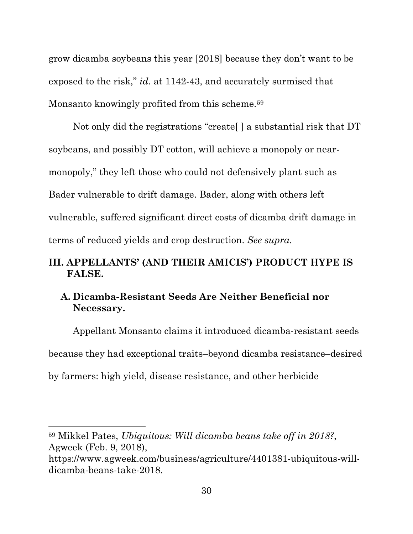grow dicamba soybeans this year [2018] because they don't want to be exposed to the risk," *id*. at 1142-43, and accurately surmised that Monsanto knowingly profited from this scheme.<sup>[59](#page-45-3)</sup>

Not only did the registrations "create[ ] a substantial risk that DT soybeans, and possibly DT cotton, will achieve a monopoly or nearmonopoly," they left those who could not defensively plant such as Bader vulnerable to drift damage. Bader, along with others left vulnerable, suffered significant direct costs of dicamba drift damage in terms of reduced yields and crop destruction. *See supra*.

## **III. APPELLANTS' (AND THEIR AMICIS') PRODUCT HYPE IS FALSE.**

## <span id="page-45-1"></span><span id="page-45-0"></span>**A. Dicamba-Resistant Seeds Are Neither Beneficial nor Necessary.**

Appellant Monsanto claims it introduced dicamba-resistant seeds because they had exceptional traits–beyond dicamba resistance–desired by farmers: high yield, disease resistance, and other herbicide

<span id="page-45-3"></span><span id="page-45-2"></span><sup>59</sup> Mikkel Pates, *Ubiquitous: Will dicamba beans take off in 2018?*, Agweek (Feb. 9, 2018),

https://www.agweek.com/business/agriculture/4401381-ubiquitous-willdicamba-beans-take-2018.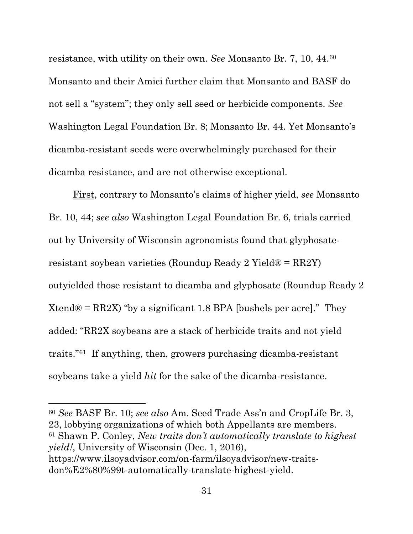resistance, with utility on their own. *See* Monsanto Br. 7, 10, 44.[60](#page-46-1) Monsanto and their Amici further claim that Monsanto and BASF do not sell a "system"; they only sell seed or herbicide components. *See* Washington Legal Foundation Br. 8; Monsanto Br. 44. Yet Monsanto's dicamba-resistant seeds were overwhelmingly purchased for their dicamba resistance, and are not otherwise exceptional.

First, contrary to Monsanto's claims of higher yield, *see* Monsanto Br. 10, 44; *see also* Washington Legal Foundation Br. 6, trials carried out by University of Wisconsin agronomists found that glyphosateresistant soybean varieties (Roundup Ready 2 Yield® = RR2Y) outyielded those resistant to dicamba and glyphosate (Roundup Ready 2 Xtend® =  $RR2X$ ) "by a significant 1.8 BPA [bushels per acre]." They added: "RR2X soybeans are a stack of herbicide traits and not yield traits."[61](#page-46-2) If anything, then, growers purchasing dicamba-resistant soybeans take a yield *hit* for the sake of the dicamba-resistance.

<span id="page-46-2"></span><span id="page-46-1"></span><span id="page-46-0"></span><sup>60</sup> *See* BASF Br. 10; *see also* Am. Seed Trade Ass'n and CropLife Br. 3, 23, lobbying organizations of which both Appellants are members. <sup>61</sup> Shawn P. Conley, *New traits don't automatically translate to highest yield!*, University of Wisconsin (Dec. 1, 2016), https://www.ilsoyadvisor.com/on-farm/ilsoyadvisor/new-traitsdon%E2%80%99t-automatically-translate-highest-yield.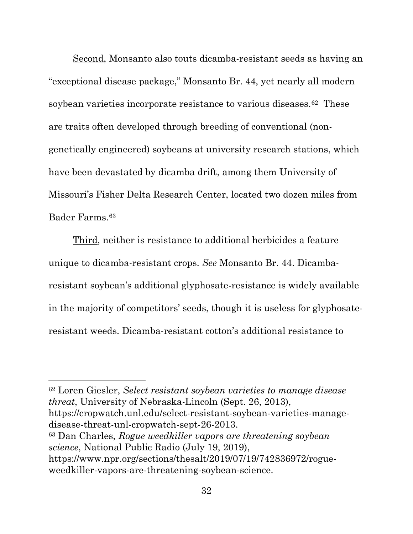Second, Monsanto also touts dicamba-resistant seeds as having an "exceptional disease package," Monsanto Br. 44, yet nearly all modern soybean varieties incorporate resistance to various diseases.[62](#page-47-2) These are traits often developed through breeding of conventional (nongenetically engineered) soybeans at university research stations, which have been devastated by dicamba drift, among them University of Missouri's Fisher Delta Research Center, located two dozen miles from Bader Farms.[63](#page-47-3)

Third, neither is resistance to additional herbicides a feature unique to dicamba-resistant crops. *See* Monsanto Br. 44. Dicambaresistant soybean's additional glyphosate-resistance is widely available in the majority of competitors' seeds, though it is useless for glyphosateresistant weeds. Dicamba-resistant cotton's additional resistance to

<span id="page-47-2"></span><span id="page-47-1"></span><sup>62</sup> Loren Giesler, *Select resistant soybean varieties to manage disease threat*, University of Nebraska-Lincoln (Sept. 26, 2013), https://cropwatch.unl.edu/select-resistant-soybean-varieties-managedisease-threat-unl-cropwatch-sept-26-2013. <sup>63</sup> Dan Charles, *Rogue weedkiller vapors are threatening soybean science*, National Public Radio (July 19, 2019), [https://www.npr.org/sections/thesalt/2019/07/19/742836972/rogue-](https://www.npr.org/sections/thesalt/2019/07/19/742836972/rogue-weedkiller-vapors-are-threatening-soybean-science)

<span id="page-47-3"></span><span id="page-47-0"></span>[weedkiller-vapors-are-threatening-soybean-science.](https://www.npr.org/sections/thesalt/2019/07/19/742836972/rogue-weedkiller-vapors-are-threatening-soybean-science)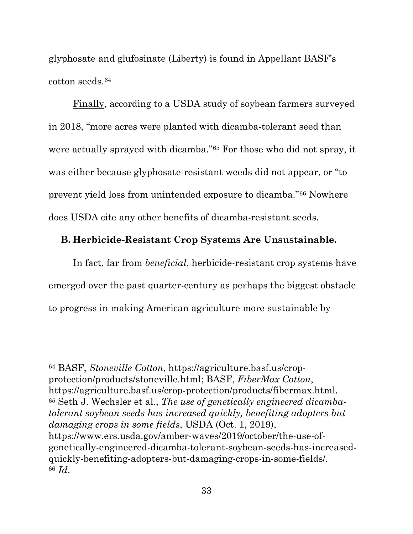glyphosate and glufosinate (Liberty) is found in Appellant BASF's cotton seeds.[64](#page-48-4)

Finally, according to a USDA study of soybean farmers surveyed in 2018, "more acres were planted with dicamba-tolerant seed than were actually sprayed with dicamba."[65](#page-48-5) For those who did not spray, it was either because glyphosate-resistant weeds did not appear, or "to prevent yield loss from unintended exposure to dicamba."[66](#page-48-6) Nowhere does USDA cite any other benefits of dicamba-resistant seeds.

### <span id="page-48-0"></span>**B. Herbicide-Resistant Crop Systems Are Unsustainable.**

In fact, far from *beneficial*, herbicide-resistant crop systems have emerged over the past quarter-century as perhaps the biggest obstacle to progress in making American agriculture more sustainable by

<span id="page-48-6"></span><span id="page-48-5"></span><span id="page-48-4"></span><span id="page-48-3"></span><span id="page-48-2"></span><span id="page-48-1"></span><sup>64</sup> BASF, *Stoneville Cotton*, [https://agriculture.basf.us/crop](https://agriculture.basf.us/crop-protection/products/stoneville.html)[protection/products/stoneville.html;](https://agriculture.basf.us/crop-protection/products/stoneville.html) BASF, *FiberMax Cotton*, https://agriculture.basf.us/crop-protection/products/fibermax.html. <sup>65</sup> Seth J. Wechsler et al., *The use of genetically engineered dicambatolerant soybean seeds has increased quickly, benefiting adopters but damaging crops in some fields*, USDA (Oct. 1, 2019), [https://www.ers.usda.gov/amber-waves/2019/october/the-use-of](https://www.ers.usda.gov/amber-waves/2019/october/the-use-of-genetically-engineered-dicamba-tolerant-soybean-seeds-has-increased-quickly-benefiting-adopters-but-damaging-crops-in-some-fields/)[genetically-engineered-dicamba-tolerant-soybean-seeds-has-increased](https://www.ers.usda.gov/amber-waves/2019/october/the-use-of-genetically-engineered-dicamba-tolerant-soybean-seeds-has-increased-quickly-benefiting-adopters-but-damaging-crops-in-some-fields/)[quickly-benefiting-adopters-but-damaging-crops-in-some-fields/.](https://www.ers.usda.gov/amber-waves/2019/october/the-use-of-genetically-engineered-dicamba-tolerant-soybean-seeds-has-increased-quickly-benefiting-adopters-but-damaging-crops-in-some-fields/) <sup>66</sup> *Id*.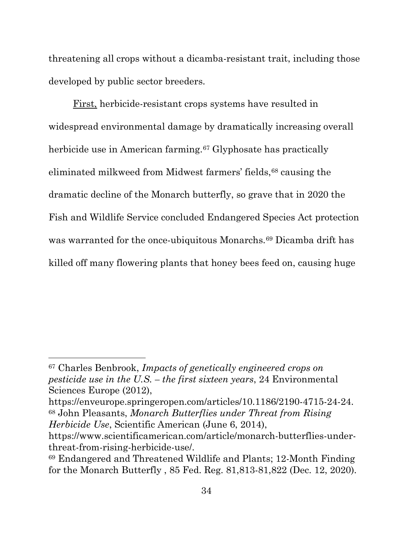threatening all crops without a dicamba-resistant trait, including those developed by public sector breeders.

<span id="page-49-0"></span>First, herbicide-resistant crops systems have resulted in widespread environmental damage by dramatically increasing overall herbicide use in American farming.<sup>[67](#page-49-3)</sup> Glyphosate has practically eliminated milkweed from Midwest farmers' fields,<sup>[68](#page-49-4)</sup> causing the dramatic decline of the Monarch butterfly, so grave that in 2020 the Fish and Wildlife Service concluded Endangered Species Act protection was warranted for the once-ubiquitous Monarchs.[69](#page-49-5) Dicamba drift has killed off many flowering plants that honey bees feed on, causing huge

<span id="page-49-3"></span><sup>67</sup> Charles Benbrook, *Impacts of genetically engineered crops on pesticide use in the U.S. – the first sixteen years*, 24 Environmental Sciences Europe (2012),

<span id="page-49-4"></span><span id="page-49-2"></span>https://enveurope.springeropen.com/articles/10.1186/2190-4715-24-24. <sup>68</sup> John Pleasants, *Monarch Butterflies under Threat from Rising Herbicide Use*, Scientific American (June 6, 2014),

https://www.scientificamerican.com/article/monarch-butterflies-underthreat-from-rising-herbicide-use/.

<span id="page-49-5"></span><span id="page-49-1"></span><sup>69</sup> Endangered and Threatened Wildlife and Plants; 12-Month Finding for the Monarch Butterfly , 85 Fed. Reg. 81,813-81,822 (Dec. 12, 2020).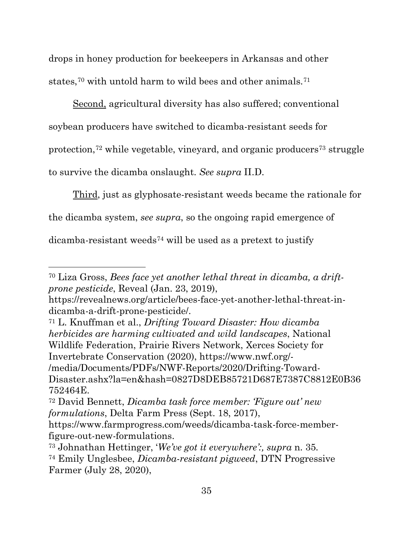drops in honey production for beekeepers in Arkansas and other states,[70](#page-50-4) with untold harm to wild bees and other animals.[71](#page-50-5)

Second, agricultural diversity has also suffered; conventional soybean producers have switched to dicamba-resistant seeds for protection,[72](#page-50-6) while vegetable, vineyard, and organic producers[73](#page-50-7) struggle to survive the dicamba onslaught. *See supra* II.D.

Third, just as glyphosate-resistant weeds became the rationale for the dicamba system, *see supra*, so the ongoing rapid emergence of dicamba-resistant weeds[74](#page-50-8) will be used as a pretext to justify

<span id="page-50-4"></span><span id="page-50-3"></span><sup>70</sup> Liza Gross, *Bees face yet another lethal threat in dicamba, a driftprone pesticide*, Reveal (Jan. 23, 2019),

[https://revealnews.org/article/bees-face-yet-another-lethal-threat-in](https://revealnews.org/article/bees-face-yet-another-lethal-threat-in-dicamba-a-drift-prone-pesticide/)[dicamba-a-drift-prone-pesticide/.](https://revealnews.org/article/bees-face-yet-another-lethal-threat-in-dicamba-a-drift-prone-pesticide/)

<span id="page-50-5"></span><span id="page-50-2"></span><sup>71</sup> L. Knuffman et al., *Drifting Toward Disaster: How dicamba herbicides are harming cultivated and wild landscapes*, National Wildlife Federation, Prairie Rivers Network, Xerces Society for Invertebrate Conservation (2020), [https://www.nwf.org/-](https://www.nwf.org/-/media/Documents/PDFs/NWF-Reports/2020/Drifting-Toward-Disaster.ashx?la=en&hash=0827D8DEB85721D687E7387C8812E0B36752464E) [/media/Documents/PDFs/NWF-Reports/2020/Drifting-Toward-](https://www.nwf.org/-/media/Documents/PDFs/NWF-Reports/2020/Drifting-Toward-Disaster.ashx?la=en&hash=0827D8DEB85721D687E7387C8812E0B36752464E)

[Disaster.ashx?la=en&hash=0827D8DEB85721D687E7387C8812E0B36](https://www.nwf.org/-/media/Documents/PDFs/NWF-Reports/2020/Drifting-Toward-Disaster.ashx?la=en&hash=0827D8DEB85721D687E7387C8812E0B36752464E) [752464E.](https://www.nwf.org/-/media/Documents/PDFs/NWF-Reports/2020/Drifting-Toward-Disaster.ashx?la=en&hash=0827D8DEB85721D687E7387C8812E0B36752464E) 72 David Bennett, *Dicamba task force member: 'Figure out' new* 

<span id="page-50-6"></span><span id="page-50-0"></span>*formulations*, Delta Farm Press (Sept. 18, 2017),

https://www.farmprogress.com/weeds/dicamba-task-force-memberfigure-out-new-formulations.

<span id="page-50-8"></span><span id="page-50-7"></span><span id="page-50-1"></span><sup>73</sup> Johnathan Hettinger, '*We've got it everywhere':, supra* n. 35*.* <sup>74</sup> Emily Unglesbee, *Dicamba-resistant pigweed*, DTN Progressive

Farmer (July 28, 2020),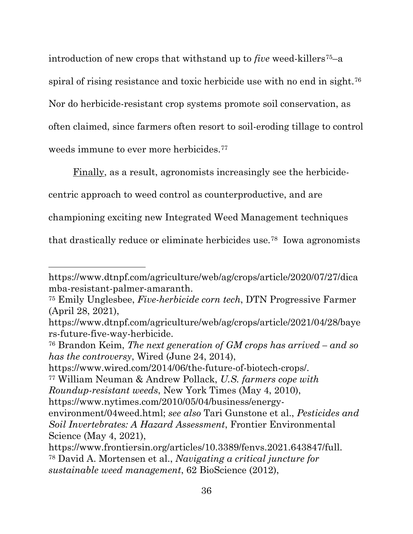introduction of new crops that withstand up to *five* weed-killers<sup>[75](#page-51-5)</sup>–a spiral of rising resistance and toxic herbicide use with no end in sight.<sup>76</sup> Nor do herbicide-resistant crop systems promote soil conservation, as often claimed, since farmers often resort to soil-eroding tillage to control weeds immune to ever more herbicides.<sup>[77](#page-51-7)</sup>

Finally, as a result, agronomists increasingly see the herbicidecentric approach to weed control as counterproductive, and are championing exciting new Integrated Weed Management techniques that drastically reduce or eliminate herbicides use.[78](#page-51-8) Iowa agronomists

https://www.wired.com/2014/06/the-future-of-biotech-crops/.

*Roundup-resistant weeds*, New York Times (May 4, 2010),

<span id="page-51-8"></span>*sustainable weed management*, 62 BioScience (2012),

https://www.dtnpf.com/agriculture/web/ag/crops/article/2020/07/27/dica mba-resistant-palmer-amaranth.

<span id="page-51-5"></span><span id="page-51-2"></span><sup>75</sup> Emily Unglesbee, *Five-herbicide corn tech*, DTN Progressive Farmer (April 28, 2021),

[https://www.dtnpf.com/agriculture/web/ag/crops/article/2021/04/28/baye](https://www.dtnpf.com/agriculture/web/ag/crops/article/2021/04/28/bayers-future-five-way-herbicide) [rs-future-five-way-herbicide.](https://www.dtnpf.com/agriculture/web/ag/crops/article/2021/04/28/bayers-future-five-way-herbicide)

<span id="page-51-6"></span><span id="page-51-0"></span><sup>76</sup> Brandon Keim, *The next generation of GM crops has arrived – and so has the controversy*, Wired (June 24, 2014),

<span id="page-51-7"></span><span id="page-51-4"></span><sup>77</sup> William Neuman & Andrew Pollack, *U.S. farmers cope with* 

<span id="page-51-3"></span>[https://www.nytimes.com/2010/05/04/business/energy-](https://www.nytimes.com/2010/05/04/business/energy-environment/04weed.html)

[environment/04weed.html;](https://www.nytimes.com/2010/05/04/business/energy-environment/04weed.html) *see also* Tari Gunstone et al., *Pesticides and Soil Invertebrates: A Hazard Assessment*, Frontier Environmental Science (May 4, 2021),

<span id="page-51-1"></span>https://www.frontiersin.org/articles/10.3389/fenvs.2021.643847/full. <sup>78</sup> David A. Mortensen et al., *Navigating a critical juncture for*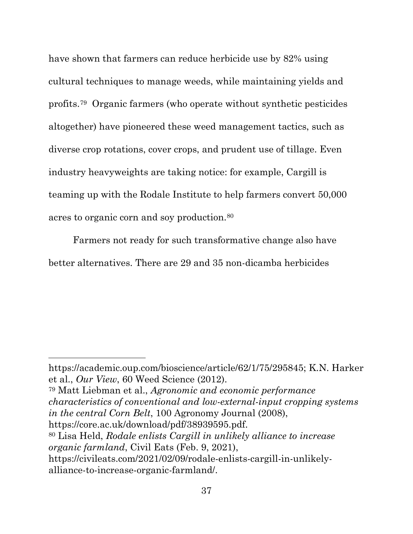have shown that farmers can reduce herbicide use by 82% using cultural techniques to manage weeds, while maintaining yields and profits.[79](#page-52-3) Organic farmers (who operate without synthetic pesticides altogether) have pioneered these weed management tactics, such as diverse crop rotations, cover crops, and prudent use of tillage. Even industry heavyweights are taking notice: for example, Cargill is teaming up with the Rodale Institute to help farmers convert 50,000 acres to organic corn and soy production.[80](#page-52-4)

Farmers not ready for such transformative change also have better alternatives. There are 29 and 35 non-dicamba herbicides

<span id="page-52-0"></span>https://academic.oup.com/bioscience/article/62/1/75/295845; K.N. Harker et al., *Our View*, 60 Weed Science (2012).

<span id="page-52-3"></span><span id="page-52-2"></span><sup>79</sup> Matt Liebman et al., *Agronomic and economic performance characteristics of conventional and low-external-input cropping systems in the central Corn Belt*, 100 Agronomy Journal (2008), https://core.ac.uk/download/pdf/38939595.pdf.

<span id="page-52-4"></span><span id="page-52-1"></span><sup>80</sup> Lisa Held, *Rodale enlists Cargill in unlikely alliance to increase organic farmland*, Civil Eats (Feb. 9, 2021),

https://civileats.com/2021/02/09/rodale-enlists-cargill-in-unlikelyalliance-to-increase-organic-farmland/.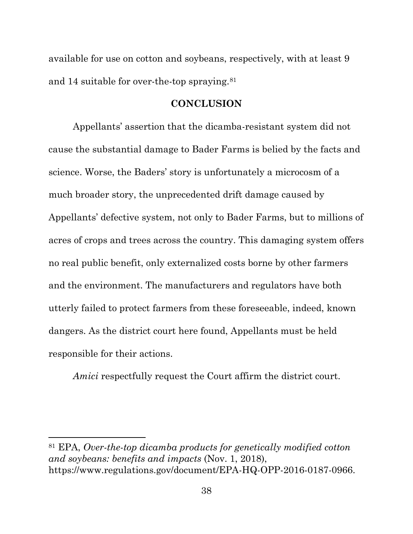available for use on cotton and soybeans, respectively, with at least 9 and 14 suitable for over-the-top spraying.[81](#page-53-2)

#### <span id="page-53-0"></span>**CONCLUSION**

Appellants' assertion that the dicamba-resistant system did not cause the substantial damage to Bader Farms is belied by the facts and science. Worse, the Baders' story is unfortunately a microcosm of a much broader story, the unprecedented drift damage caused by Appellants' defective system, not only to Bader Farms, but to millions of acres of crops and trees across the country. This damaging system offers no real public benefit, only externalized costs borne by other farmers and the environment. The manufacturers and regulators have both utterly failed to protect farmers from these foreseeable, indeed, known dangers. As the district court here found, Appellants must be held responsible for their actions.

<span id="page-53-1"></span>*Amici* respectfully request the Court affirm the district court.

<span id="page-53-2"></span><sup>81</sup> EPA, *Over-the-top dicamba products for genetically modified cotton and soybeans: benefits and impacts* (Nov. 1, 2018), https://www.regulations.gov/document/EPA-HQ-OPP-2016-0187-0966.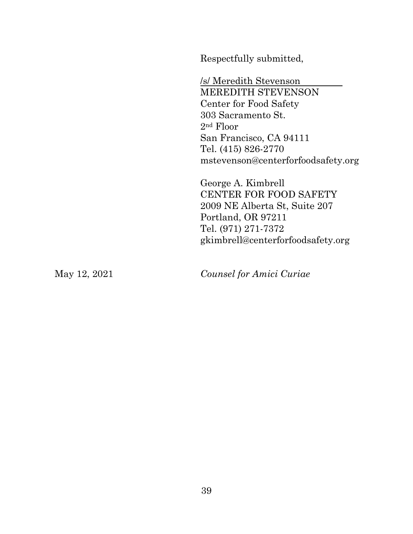Respectfully submitted,

/s/ Meredith Stevenson MEREDITH STEVENSON Center for Food Safety 303 Sacramento St. 2nd Floor San Francisco, CA 94111 Tel. (415) 826-2770 [mstevenson@centerforfoodsafety.org](mailto:mstevenson@centerforfoodsafety.org)

George A. Kimbrell CENTER FOR FOOD SAFETY 2009 NE Alberta St, Suite 207 Portland, OR 97211 Tel. (971) 271-7372 [gkimbrell@centerforfoodsafety.org](mailto:gkimbrell@centerforfoodsafety.org)

May 12, 2021 *Counsel for Amici Curiae*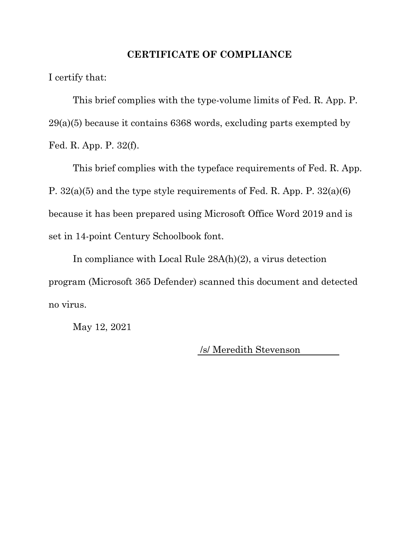#### **CERTIFICATE OF COMPLIANCE**

I certify that:

This brief complies with the type-volume limits of Fed. R. App. P. 29(a)(5) because it contains 6368 words, excluding parts exempted by Fed. R. App. P. 32(f).

This brief complies with the typeface requirements of Fed. R. App. P. 32(a)(5) and the type style requirements of Fed. R. App. P. 32(a)(6) because it has been prepared using Microsoft Office Word 2019 and is set in 14-point Century Schoolbook font.

In compliance with Local Rule 28A(h)(2), a virus detection program (Microsoft 365 Defender) scanned this document and detected no virus.

May 12, 2021

/s/ Meredith Stevenson